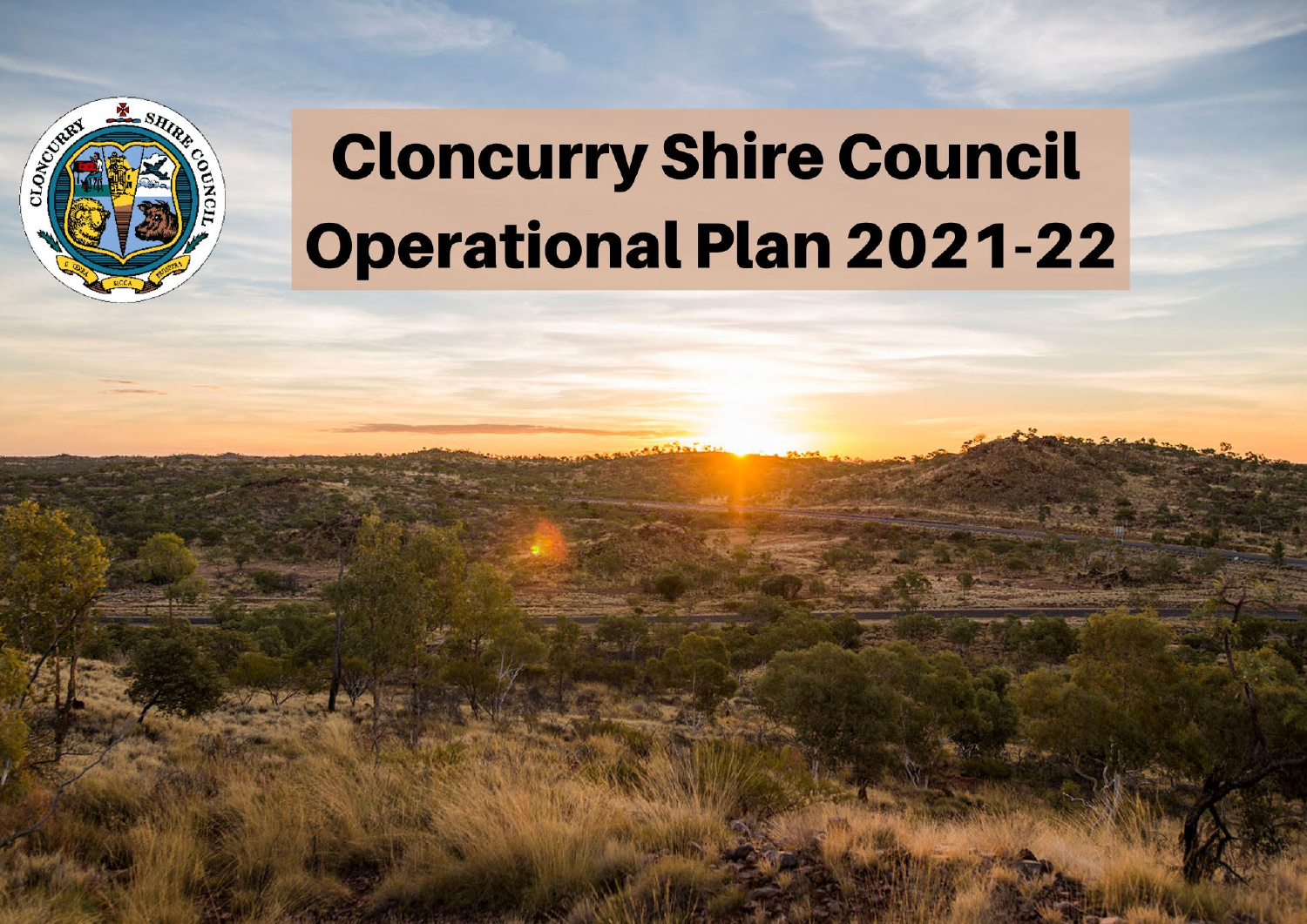

# **Cloncurry Shire Council Operational Plan 2021-22**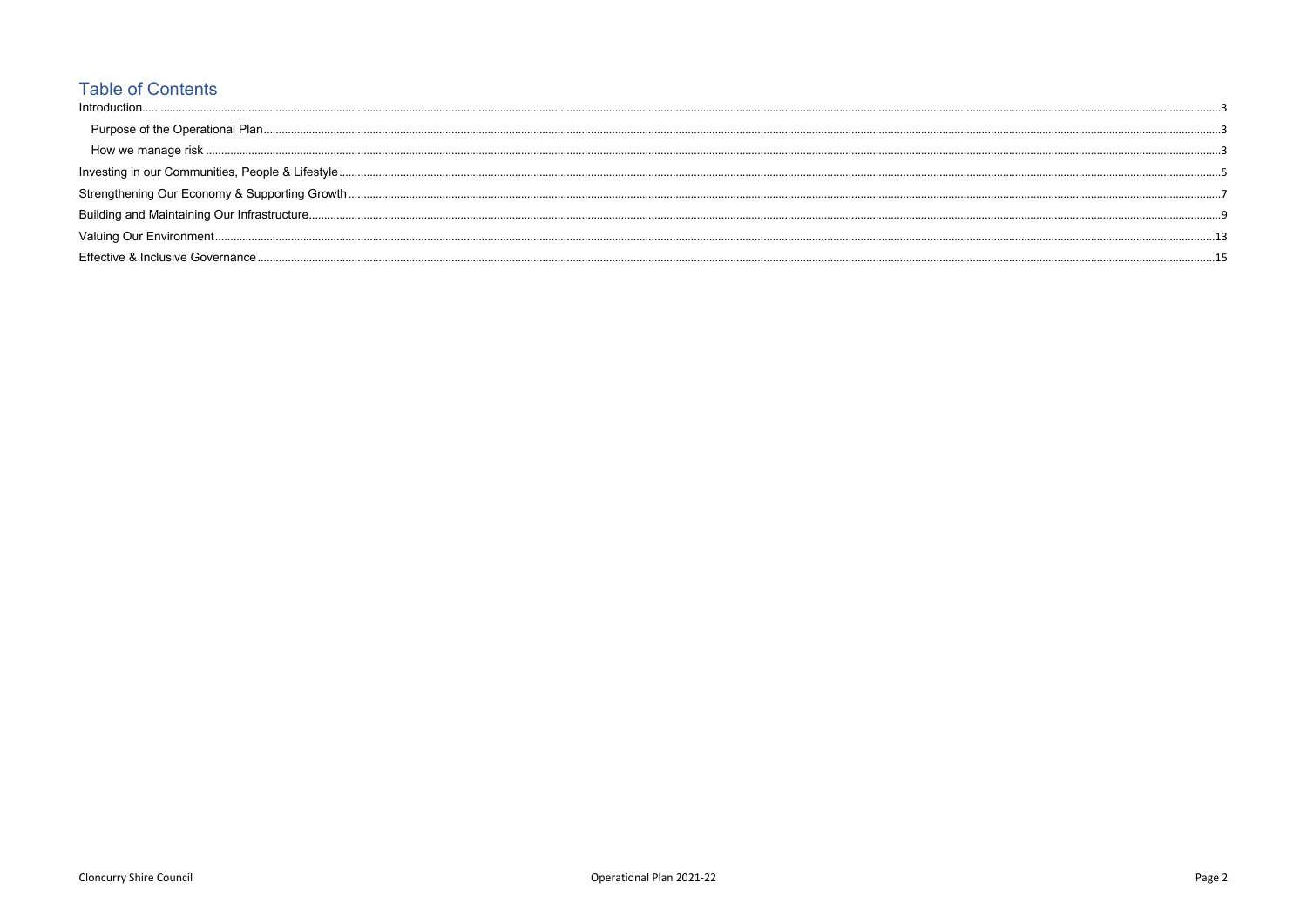## **Table of Contents**

| Introduction                      |  |
|-----------------------------------|--|
|                                   |  |
|                                   |  |
|                                   |  |
|                                   |  |
|                                   |  |
|                                   |  |
| Effective & Inclusive Governance. |  |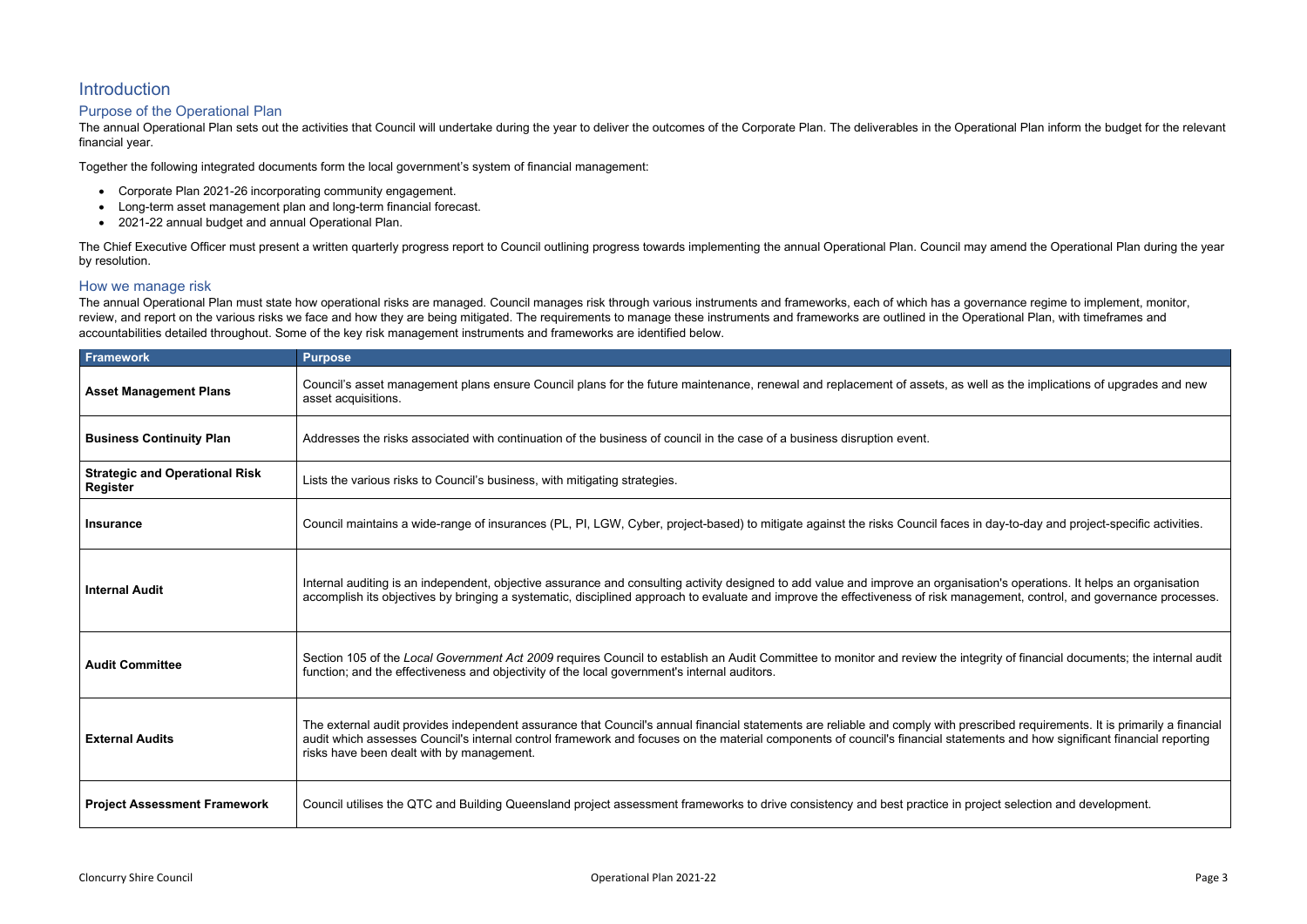|  | tional Plan inform the budget for the relevant |  |
|--|------------------------------------------------|--|

| as the implications of upgrades and new                                                        |
|------------------------------------------------------------------------------------------------|
|                                                                                                |
|                                                                                                |
| day-to-day and project-specific activities.                                                    |
| on's operations. It helps an organisation<br>ement, control, and governance processes.         |
| ity of financial documents; the internal audit                                                 |
| ribed requirements. It is primarily a financial<br>nts and how significant financial reporting |
| ect selection and development.                                                                 |

#### <span id="page-2-0"></span>**Introduction**

#### <span id="page-2-1"></span>Purpose of the Operational Plan

The annual Operational Plan sets out the activities that Council will undertake during the year to deliver the outcomes of the Corporate Plan. The deliverables in the Operational Plan inform the Operation the relevant for financial year.

Together the following integrated documents form the local government's system of financial management:

The Chief Executive Officer must present a written quarterly progress report to Council outlining progress towards implementing the annual Operational Plan. Council may amend the Operational Plan during the year by resolution.

- Corporate Plan 2021-26 incorporating community engagement.
- Long-term asset management plan and long-term financial forecast.
- 2021-22 annual budget and annual Operational Plan.

#### <span id="page-2-2"></span>How we manage risk

The annual Operational Plan must state how operational risks are managed. Council manages risk through various instruments and frameworks, each of which has a governance regime to implement, monitor, review, and report on the various risks we face and how they are being mitigated. The requirements to manage these instruments and frameworks are outlined in the Operational Plan, with timeframes and accountabilities detailed throughout. Some of the key risk management instruments and frameworks are identified below.

| Framework                                         | <b>Purpose</b>                                                                                                                                                                                                                                                                                                                                                                                            |
|---------------------------------------------------|-----------------------------------------------------------------------------------------------------------------------------------------------------------------------------------------------------------------------------------------------------------------------------------------------------------------------------------------------------------------------------------------------------------|
| <b>Asset Management Plans</b>                     | Council's asset management plans ensure Council plans for the future maintenance, renewal and replacement of assets, as well as the implications of upgrades and new<br>asset acquisitions.                                                                                                                                                                                                               |
| <b>Business Continuity Plan</b>                   | Addresses the risks associated with continuation of the business of council in the case of a business disruption event.                                                                                                                                                                                                                                                                                   |
| <b>Strategic and Operational Risk</b><br>Register | Lists the various risks to Council's business, with mitigating strategies.                                                                                                                                                                                                                                                                                                                                |
| <b>Insurance</b>                                  | Council maintains a wide-range of insurances (PL, PI, LGW, Cyber, project-based) to mitigate against the risks Council faces in day-to-day and project-specific activities.                                                                                                                                                                                                                               |
| <b>Internal Audit</b>                             | Internal auditing is an independent, objective assurance and consulting activity designed to add value and improve an organisation's operations. It helps an organisation<br>accomplish its objectives by bringing a systematic, disciplined approach to evaluate and improve the effectiveness of risk management, control, and governance processes.                                                    |
| <b>Audit Committee</b>                            | Section 105 of the Local Government Act 2009 requires Council to establish an Audit Committee to monitor and review the integrity of financial documents; the internal audit<br>function; and the effectiveness and objectivity of the local government's internal auditors.                                                                                                                              |
| <b>External Audits</b>                            | The external audit provides independent assurance that Council's annual financial statements are reliable and comply with prescribed requirements. It is primarily a financial<br>audit which assesses Council's internal control framework and focuses on the material components of council's financial statements and how significant financial reporting<br>risks have been dealt with by management. |
| <b>Project Assessment Framework</b>               | Council utilises the QTC and Building Queensland project assessment frameworks to drive consistency and best practice in project selection and development.                                                                                                                                                                                                                                               |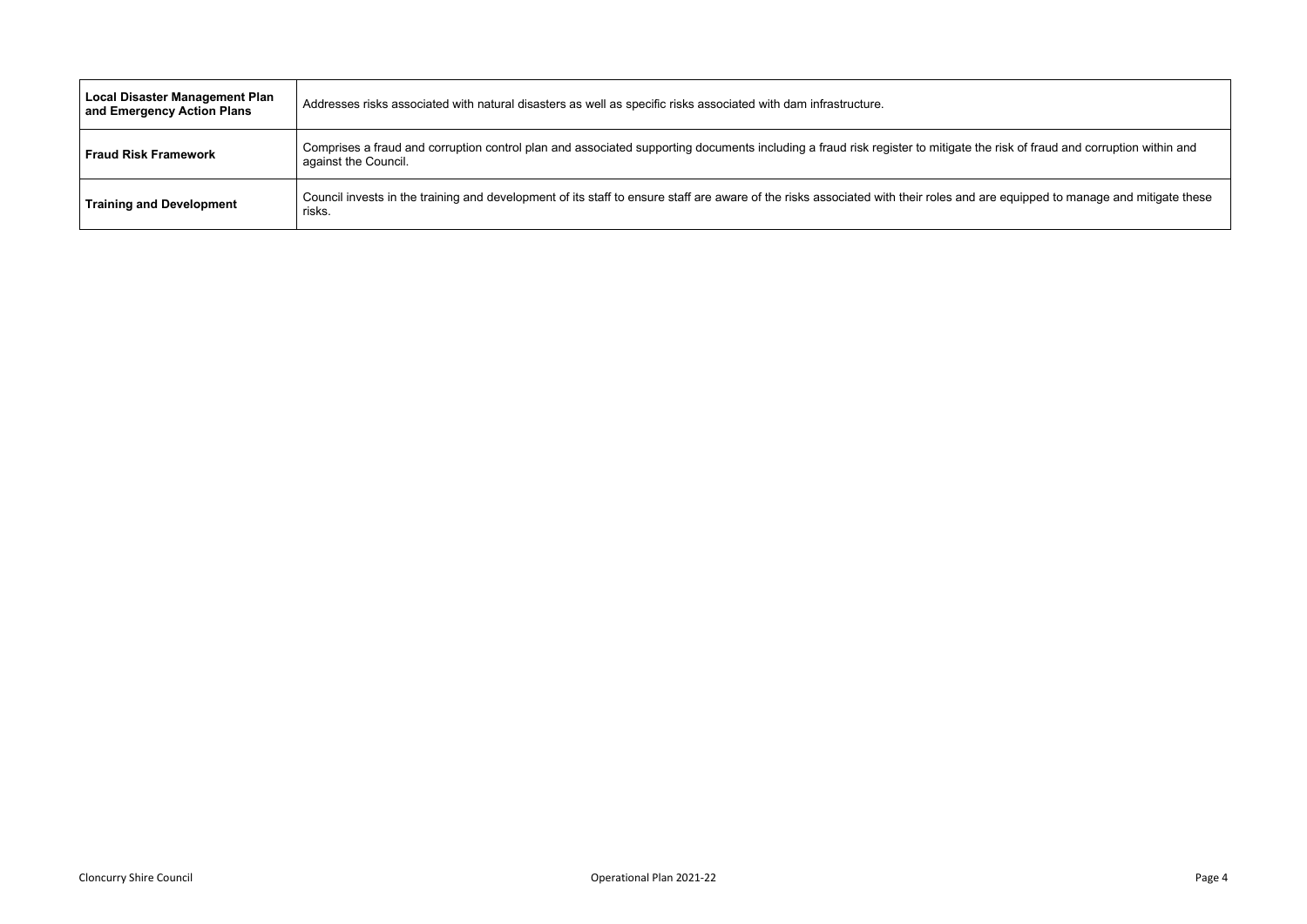### e risk of fraud and corruption within and a

re equipped to manage and mitigate these

| <b>Local Disaster Management Plan</b><br>and Emergency Action Plans | Addresses risks associated with natural disasters as well as specific risks associated with dam infrastructure.                                           |
|---------------------------------------------------------------------|-----------------------------------------------------------------------------------------------------------------------------------------------------------|
| <b>Fraud Risk Framework</b>                                         | Comprises a fraud and corruption control plan and associated supporting documents including a fraud risk register to mitigate the<br>against the Council. |
| <b>Training and Development</b>                                     | Council invests in the training and development of its staff to ensure staff are aware of the risks associated with their roles and are<br>risks.         |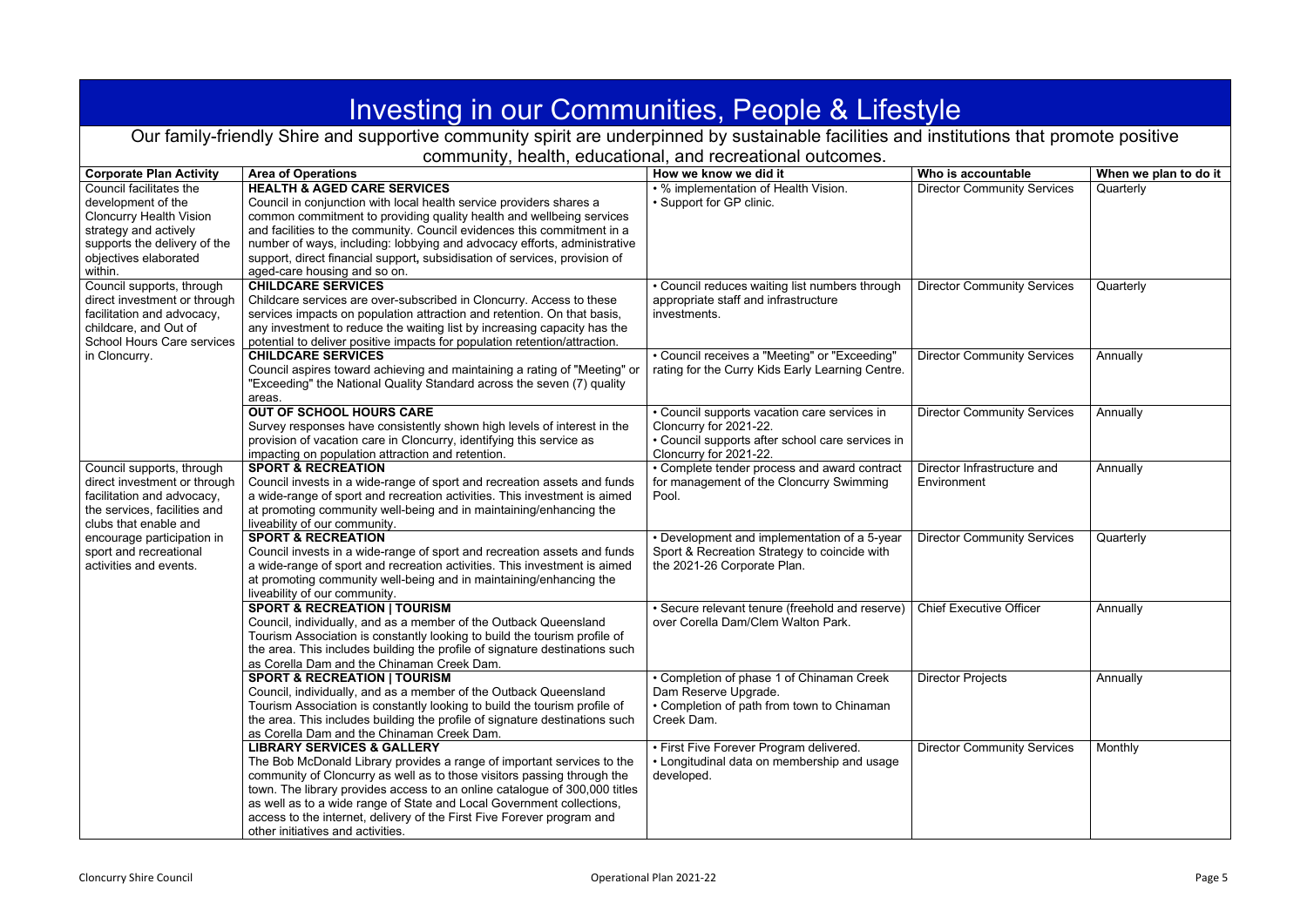<span id="page-4-0"></span>

| Investing in our Communities, People & Lifestyle                                                                                                                             |                                                                                                                                                                                                                                                                                                                                                                                                                                                                  |                                                                                                                                                      |                                            |                       |  |
|------------------------------------------------------------------------------------------------------------------------------------------------------------------------------|------------------------------------------------------------------------------------------------------------------------------------------------------------------------------------------------------------------------------------------------------------------------------------------------------------------------------------------------------------------------------------------------------------------------------------------------------------------|------------------------------------------------------------------------------------------------------------------------------------------------------|--------------------------------------------|-----------------------|--|
|                                                                                                                                                                              | Our family-friendly Shire and supportive community spirit are underpinned by sustainable facilities and institutions that promote positive                                                                                                                                                                                                                                                                                                                       |                                                                                                                                                      |                                            |                       |  |
|                                                                                                                                                                              |                                                                                                                                                                                                                                                                                                                                                                                                                                                                  | community, health, educational, and recreational outcomes.                                                                                           |                                            |                       |  |
| <b>Corporate Plan Activity</b>                                                                                                                                               | <b>Area of Operations</b>                                                                                                                                                                                                                                                                                                                                                                                                                                        | How we know we did it                                                                                                                                | Who is accountable                         | When we plan to do it |  |
| Council facilitates the<br>development of the<br><b>Cloncurry Health Vision</b><br>strategy and actively<br>supports the delivery of the<br>objectives elaborated<br>within. | <b>HEALTH &amp; AGED CARE SERVICES</b><br>Council in conjunction with local health service providers shares a<br>common commitment to providing quality health and wellbeing services<br>and facilities to the community. Council evidences this commitment in a<br>number of ways, including: lobbying and advocacy efforts, administrative<br>support, direct financial support, subsidisation of services, provision of<br>aged-care housing and so on.       | • % implementation of Health Vision.<br>• Support for GP clinic.                                                                                     | <b>Director Community Services</b>         | Quarterly             |  |
| Council supports, through<br>direct investment or through<br>facilitation and advocacy,<br>childcare, and Out of<br><b>School Hours Care services</b>                        | <b>CHILDCARE SERVICES</b><br>Childcare services are over-subscribed in Cloncurry. Access to these<br>services impacts on population attraction and retention. On that basis,<br>any investment to reduce the waiting list by increasing capacity has the<br>potential to deliver positive impacts for population retention/attraction.                                                                                                                           | • Council reduces waiting list numbers through<br>appropriate staff and infrastructure<br>investments.                                               | <b>Director Community Services</b>         | Quarterly             |  |
| in Cloncurry.                                                                                                                                                                | <b>CHILDCARE SERVICES</b><br>Council aspires toward achieving and maintaining a rating of "Meeting" or<br>"Exceeding" the National Quality Standard across the seven (7) quality<br>areas.                                                                                                                                                                                                                                                                       | • Council receives a "Meeting" or "Exceeding"<br>rating for the Curry Kids Early Learning Centre.                                                    | <b>Director Community Services</b>         | Annually              |  |
|                                                                                                                                                                              | <b>OUT OF SCHOOL HOURS CARE</b><br>Survey responses have consistently shown high levels of interest in the<br>provision of vacation care in Cloncurry, identifying this service as<br>impacting on population attraction and retention.                                                                                                                                                                                                                          | • Council supports vacation care services in<br>Cloncurry for 2021-22.<br>• Council supports after school care services in<br>Cloncurry for 2021-22. | <b>Director Community Services</b>         | Annually              |  |
| Council supports, through<br>direct investment or through<br>facilitation and advocacy,<br>the services, facilities and<br>clubs that enable and                             | <b>SPORT &amp; RECREATION</b><br>Council invests in a wide-range of sport and recreation assets and funds<br>a wide-range of sport and recreation activities. This investment is aimed<br>at promoting community well-being and in maintaining/enhancing the<br>liveability of our community.                                                                                                                                                                    | • Complete tender process and award contract<br>for management of the Cloncurry Swimming<br>Pool.                                                    | Director Infrastructure and<br>Environment | Annually              |  |
| encourage participation in<br>sport and recreational<br>activities and events.                                                                                               | <b>SPORT &amp; RECREATION</b><br>Council invests in a wide-range of sport and recreation assets and funds<br>a wide-range of sport and recreation activities. This investment is aimed<br>at promoting community well-being and in maintaining/enhancing the<br>liveability of our community.                                                                                                                                                                    | • Development and implementation of a 5-year<br>Sport & Recreation Strategy to coincide with<br>the 2021-26 Corporate Plan.                          | <b>Director Community Services</b>         | Quarterly             |  |
|                                                                                                                                                                              | <b>SPORT &amp; RECREATION   TOURISM</b><br>Council, individually, and as a member of the Outback Queensland<br>Tourism Association is constantly looking to build the tourism profile of<br>the area. This includes building the profile of signature destinations such<br>as Corella Dam and the Chinaman Creek Dam.                                                                                                                                            | • Secure relevant tenure (freehold and reserve)<br>over Corella Dam/Clem Walton Park.                                                                | <b>Chief Executive Officer</b>             | Annually              |  |
|                                                                                                                                                                              | <b>SPORT &amp; RECREATION   TOURISM</b><br>Council, individually, and as a member of the Outback Queensland<br>Tourism Association is constantly looking to build the tourism profile of<br>the area. This includes building the profile of signature destinations such<br>as Corella Dam and the Chinaman Creek Dam.                                                                                                                                            | • Completion of phase 1 of Chinaman Creek<br>Dam Reserve Upgrade.<br>• Completion of path from town to Chinaman<br>Creek Dam.                        | <b>Director Projects</b>                   | Annually              |  |
|                                                                                                                                                                              | <b>LIBRARY SERVICES &amp; GALLERY</b><br>The Bob McDonald Library provides a range of important services to the<br>community of Cloncurry as well as to those visitors passing through the<br>town. The library provides access to an online catalogue of 300,000 titles<br>as well as to a wide range of State and Local Government collections,<br>access to the internet, delivery of the First Five Forever program and<br>other initiatives and activities. | • First Five Forever Program delivered.<br>• Longitudinal data on membership and usage<br>developed.                                                 | <b>Director Community Services</b>         | Monthly               |  |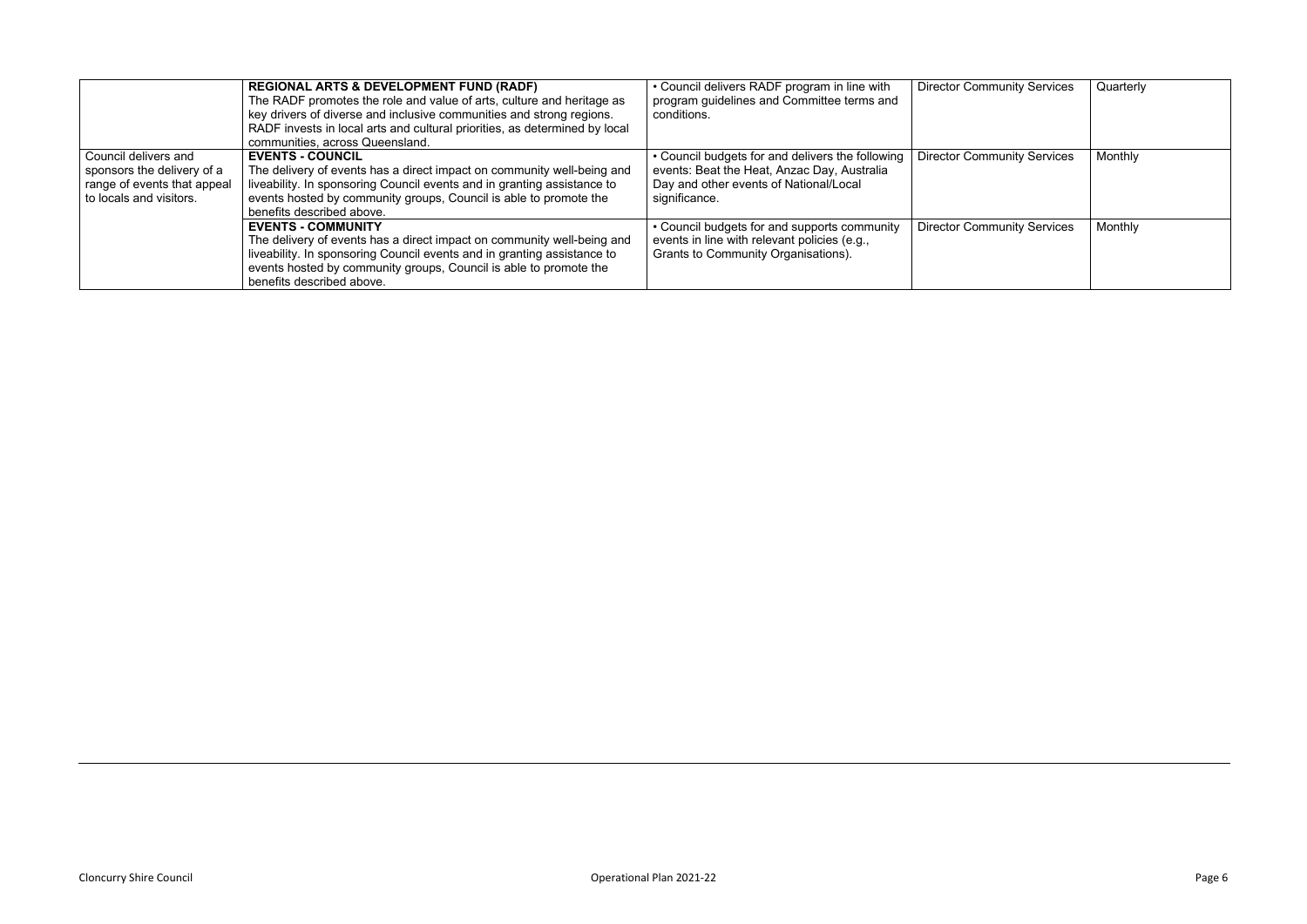|                                                                                                              | <b>REGIONAL ARTS &amp; DEVELOPMENT FUND (RADF)</b><br>The RADF promotes the role and value of arts, culture and heritage as<br>key drivers of diverse and inclusive communities and strong regions.<br>RADF invests in local arts and cultural priorities, as determined by local<br>communities, across Queensland. | • Council delivers RADF program in line with<br>program guidelines and Committee terms and<br>conditions.                                                  | <b>Director Community Services</b> | Quarterly |
|--------------------------------------------------------------------------------------------------------------|----------------------------------------------------------------------------------------------------------------------------------------------------------------------------------------------------------------------------------------------------------------------------------------------------------------------|------------------------------------------------------------------------------------------------------------------------------------------------------------|------------------------------------|-----------|
| Council delivers and<br>sponsors the delivery of a<br>range of events that appeal<br>to locals and visitors. | <b>EVENTS - COUNCIL</b><br>The delivery of events has a direct impact on community well-being and<br>liveability. In sponsoring Council events and in granting assistance to<br>events hosted by community groups, Council is able to promote the<br>benefits described above.                                       | • Council budgets for and delivers the following<br>events: Beat the Heat, Anzac Day, Australia<br>Day and other events of National/Local<br>significance. | <b>Director Community Services</b> | Monthly   |
|                                                                                                              | <b>EVENTS - COMMUNITY</b><br>The delivery of events has a direct impact on community well-being and<br>liveability. In sponsoring Council events and in granting assistance to<br>events hosted by community groups, Council is able to promote the<br>benefits described above.                                     | • Council budgets for and supports community<br>events in line with relevant policies (e.g.,<br>Grants to Community Organisations).                        | <b>Director Community Services</b> | Monthly   |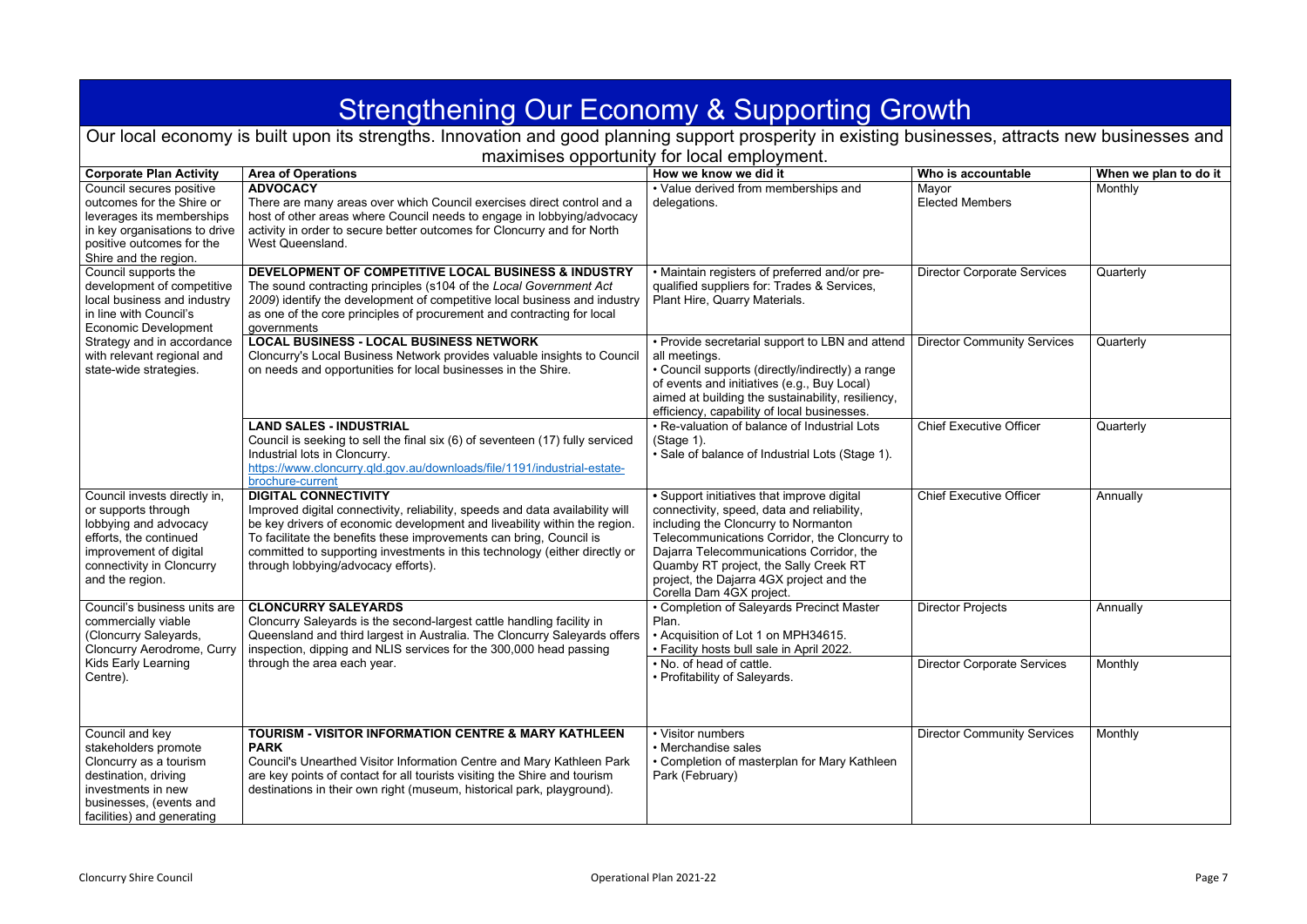<span id="page-6-0"></span>

| <b>Strengthening Our Economy &amp; Supporting Growth</b>                                                                                                                                                    |                                                                                                                                                                                                                                                                                                                                                                                       |                                                                                                                                                                                                                                                                                                                                                |                                                       |                                  |  |  |
|-------------------------------------------------------------------------------------------------------------------------------------------------------------------------------------------------------------|---------------------------------------------------------------------------------------------------------------------------------------------------------------------------------------------------------------------------------------------------------------------------------------------------------------------------------------------------------------------------------------|------------------------------------------------------------------------------------------------------------------------------------------------------------------------------------------------------------------------------------------------------------------------------------------------------------------------------------------------|-------------------------------------------------------|----------------------------------|--|--|
|                                                                                                                                                                                                             | Our local economy is built upon its strengths. Innovation and good planning support prosperity in existing businesses, attracts new businesses and<br>maximises opportunity for local employment.                                                                                                                                                                                     |                                                                                                                                                                                                                                                                                                                                                |                                                       |                                  |  |  |
|                                                                                                                                                                                                             |                                                                                                                                                                                                                                                                                                                                                                                       |                                                                                                                                                                                                                                                                                                                                                |                                                       |                                  |  |  |
| <b>Corporate Plan Activity</b><br>Council secures positive<br>outcomes for the Shire or<br>leverages its memberships<br>in key organisations to drive<br>positive outcomes for the<br>Shire and the region. | <b>Area of Operations</b><br><b>ADVOCACY</b><br>There are many areas over which Council exercises direct control and a<br>host of other areas where Council needs to engage in lobbying/advocacy<br>activity in order to secure better outcomes for Cloncurry and for North<br>West Queensland.                                                                                       | How we know we did it<br>• Value derived from memberships and<br>delegations.                                                                                                                                                                                                                                                                  | Who is accountable<br>Mayor<br><b>Elected Members</b> | When we plan to do it<br>Monthly |  |  |
| Council supports the<br>development of competitive<br>local business and industry<br>in line with Council's<br><b>Economic Development</b>                                                                  | <b>DEVELOPMENT OF COMPETITIVE LOCAL BUSINESS &amp; INDUSTRY</b><br>The sound contracting principles (s104 of the Local Government Act<br>2009) identify the development of competitive local business and industry<br>as one of the core principles of procurement and contracting for local<br>governments                                                                           | • Maintain registers of preferred and/or pre-<br>qualified suppliers for: Trades & Services,<br>Plant Hire, Quarry Materials.                                                                                                                                                                                                                  | <b>Director Corporate Services</b>                    | Quarterly                        |  |  |
| Strategy and in accordance<br>with relevant regional and<br>state-wide strategies.                                                                                                                          | <b>LOCAL BUSINESS - LOCAL BUSINESS NETWORK</b><br>Cloncurry's Local Business Network provides valuable insights to Council<br>on needs and opportunities for local businesses in the Shire.                                                                                                                                                                                           | • Provide secretarial support to LBN and attend<br>all meetings.<br>• Council supports (directly/indirectly) a range<br>of events and initiatives (e.g., Buy Local)<br>aimed at building the sustainability, resiliency,<br>efficiency, capability of local businesses.                                                                        | <b>Director Community Services</b>                    | Quarterly                        |  |  |
|                                                                                                                                                                                                             | <b>LAND SALES - INDUSTRIAL</b><br>Council is seeking to sell the final six (6) of seventeen (17) fully serviced<br>Industrial lots in Cloncurry.<br>https://www.cloncurry.gld.gov.au/downloads/file/1191/industrial-estate-<br>brochure-current                                                                                                                                       | • Re-valuation of balance of Industrial Lots<br>(Stage 1).<br>• Sale of balance of Industrial Lots (Stage 1).                                                                                                                                                                                                                                  | <b>Chief Executive Officer</b>                        | Quarterly                        |  |  |
| Council invests directly in,<br>or supports through<br>lobbying and advocacy<br>efforts, the continued<br>improvement of digital<br>connectivity in Cloncurry<br>and the region.                            | <b>DIGITAL CONNECTIVITY</b><br>Improved digital connectivity, reliability, speeds and data availability will<br>be key drivers of economic development and liveability within the region.<br>To facilitate the benefits these improvements can bring, Council is<br>committed to supporting investments in this technology (either directly or<br>through lobbying/advocacy efforts). | • Support initiatives that improve digital<br>connectivity, speed, data and reliability,<br>including the Cloncurry to Normanton<br>Telecommunications Corridor, the Cloncurry to<br>Dajarra Telecommunications Corridor, the<br>Quamby RT project, the Sally Creek RT<br>project, the Dajarra 4GX project and the<br>Corella Dam 4GX project. | <b>Chief Executive Officer</b>                        | Annually                         |  |  |
| Council's business units are<br>commercially viable<br>(Cloncurry Saleyards,<br><b>Cloncurry Aerodrome, Curry</b>                                                                                           | <b>CLONCURRY SALEYARDS</b><br>Cloncurry Saleyards is the second-largest cattle handling facility in<br>Queensland and third largest in Australia. The Cloncurry Saleyards offers<br>inspection, dipping and NLIS services for the 300,000 head passing                                                                                                                                | • Completion of Saleyards Precinct Master<br>Plan.<br>• Acquisition of Lot 1 on MPH34615.<br>• Facility hosts bull sale in April 2022.                                                                                                                                                                                                         | <b>Director Projects</b>                              | Annually                         |  |  |
| Kids Early Learning<br>Centre).                                                                                                                                                                             | through the area each year.                                                                                                                                                                                                                                                                                                                                                           | . No. of head of cattle.<br>• Profitability of Saleyards.                                                                                                                                                                                                                                                                                      | <b>Director Corporate Services</b>                    | Monthly                          |  |  |
| Council and key<br>stakeholders promote<br>Cloncurry as a tourism<br>destination, driving<br>investments in new<br>businesses, (events and<br>facilities) and generating                                    | <b>TOURISM - VISITOR INFORMATION CENTRE &amp; MARY KATHLEEN</b><br><b>PARK</b><br>Council's Unearthed Visitor Information Centre and Mary Kathleen Park<br>are key points of contact for all tourists visiting the Shire and tourism<br>destinations in their own right (museum, historical park, playground).                                                                        | • Visitor numbers<br>• Merchandise sales<br>• Completion of masterplan for Mary Kathleen<br>Park (February)                                                                                                                                                                                                                                    | <b>Director Community Services</b>                    | Monthly                          |  |  |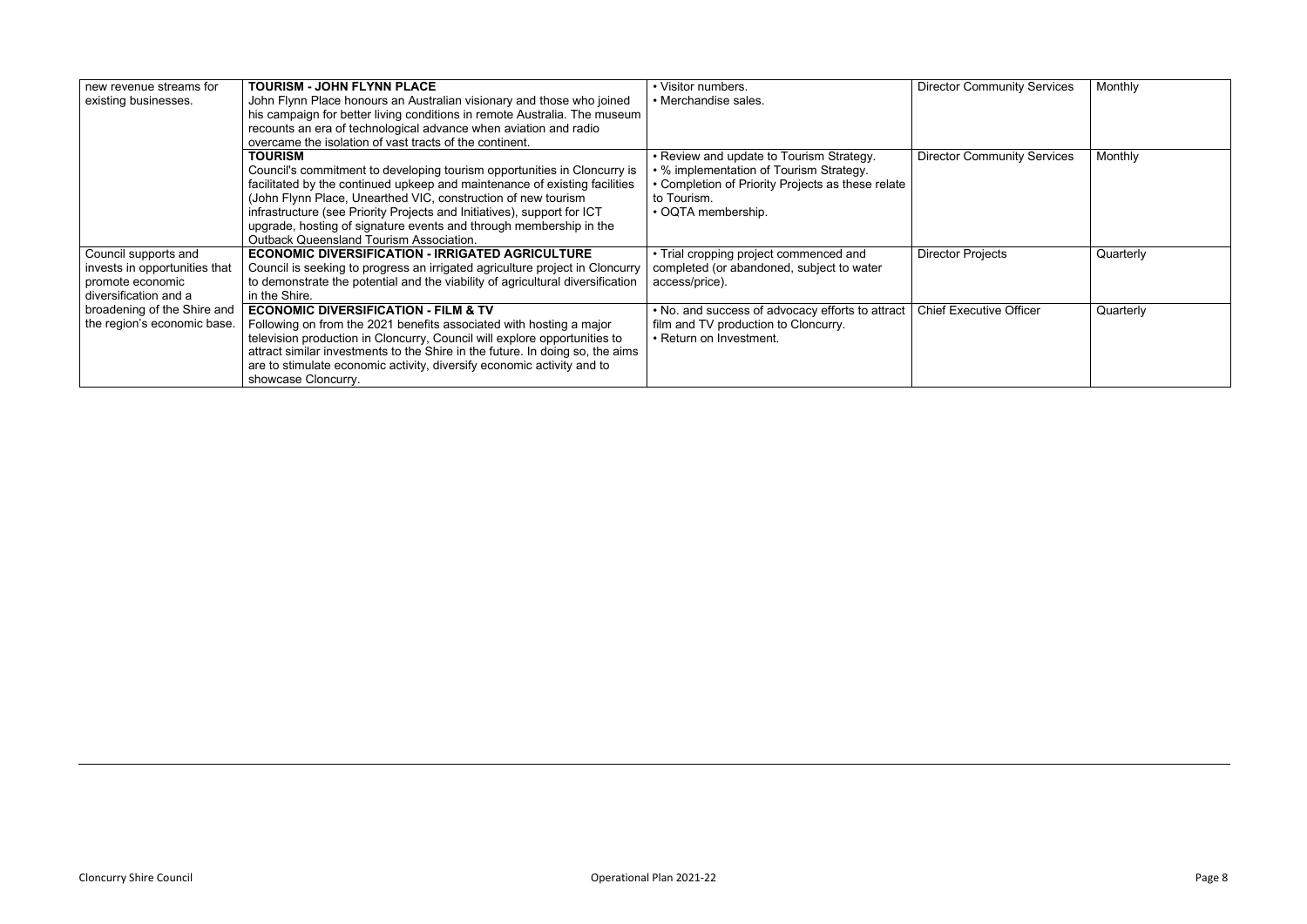| new revenue streams for       | TOURISM - JOHN FLYNN PLACE                                                     | • Visitor numbers.                                | <b>Director Community Services</b> | Monthly   |
|-------------------------------|--------------------------------------------------------------------------------|---------------------------------------------------|------------------------------------|-----------|
| existing businesses.          | John Flynn Place honours an Australian visionary and those who joined          | • Merchandise sales.                              |                                    |           |
|                               | his campaign for better living conditions in remote Australia. The museum      |                                                   |                                    |           |
|                               | recounts an era of technological advance when aviation and radio               |                                                   |                                    |           |
|                               | overcame the isolation of vast tracts of the continent.                        |                                                   |                                    |           |
|                               | <b>TOURISM</b>                                                                 | • Review and update to Tourism Strategy.          | <b>Director Community Services</b> | Monthly   |
|                               | Council's commitment to developing tourism opportunities in Cloncurry is       | • % implementation of Tourism Strategy.           |                                    |           |
|                               | facilitated by the continued upkeep and maintenance of existing facilities     | • Completion of Priority Projects as these relate |                                    |           |
|                               | (John Flynn Place, Unearthed VIC, construction of new tourism                  | to Tourism.                                       |                                    |           |
|                               | infrastructure (see Priority Projects and Initiatives), support for ICT        | • OQTA membership.                                |                                    |           |
|                               | upgrade, hosting of signature events and through membership in the             |                                                   |                                    |           |
|                               | <b>Outback Queensland Tourism Association.</b>                                 |                                                   |                                    |           |
| Council supports and          | <b>ECONOMIC DIVERSIFICATION - IRRIGATED AGRICULTURE</b>                        | • Trial cropping project commenced and            | <b>Director Projects</b>           | Quarterly |
| invests in opportunities that | Council is seeking to progress an irrigated agriculture project in Cloncurry   | completed (or abandoned, subject to water         |                                    |           |
| promote economic              | to demonstrate the potential and the viability of agricultural diversification | access/price).                                    |                                    |           |
| diversification and a         | in the Shire.                                                                  |                                                   |                                    |           |
| broadening of the Shire and   | <b>ECONOMIC DIVERSIFICATION - FILM &amp; TV</b>                                | . No. and success of advocacy efforts to attract  | <b>Chief Executive Officer</b>     | Quarterly |
| the region's economic base.   | Following on from the 2021 benefits associated with hosting a major            | film and TV production to Cloncurry.              |                                    |           |
|                               | television production in Cloncurry, Council will explore opportunities to      | • Return on Investment.                           |                                    |           |
|                               | attract similar investments to the Shire in the future. In doing so, the aims  |                                                   |                                    |           |
|                               | are to stimulate economic activity, diversify economic activity and to         |                                                   |                                    |           |
|                               | showcase Cloncurry.                                                            |                                                   |                                    |           |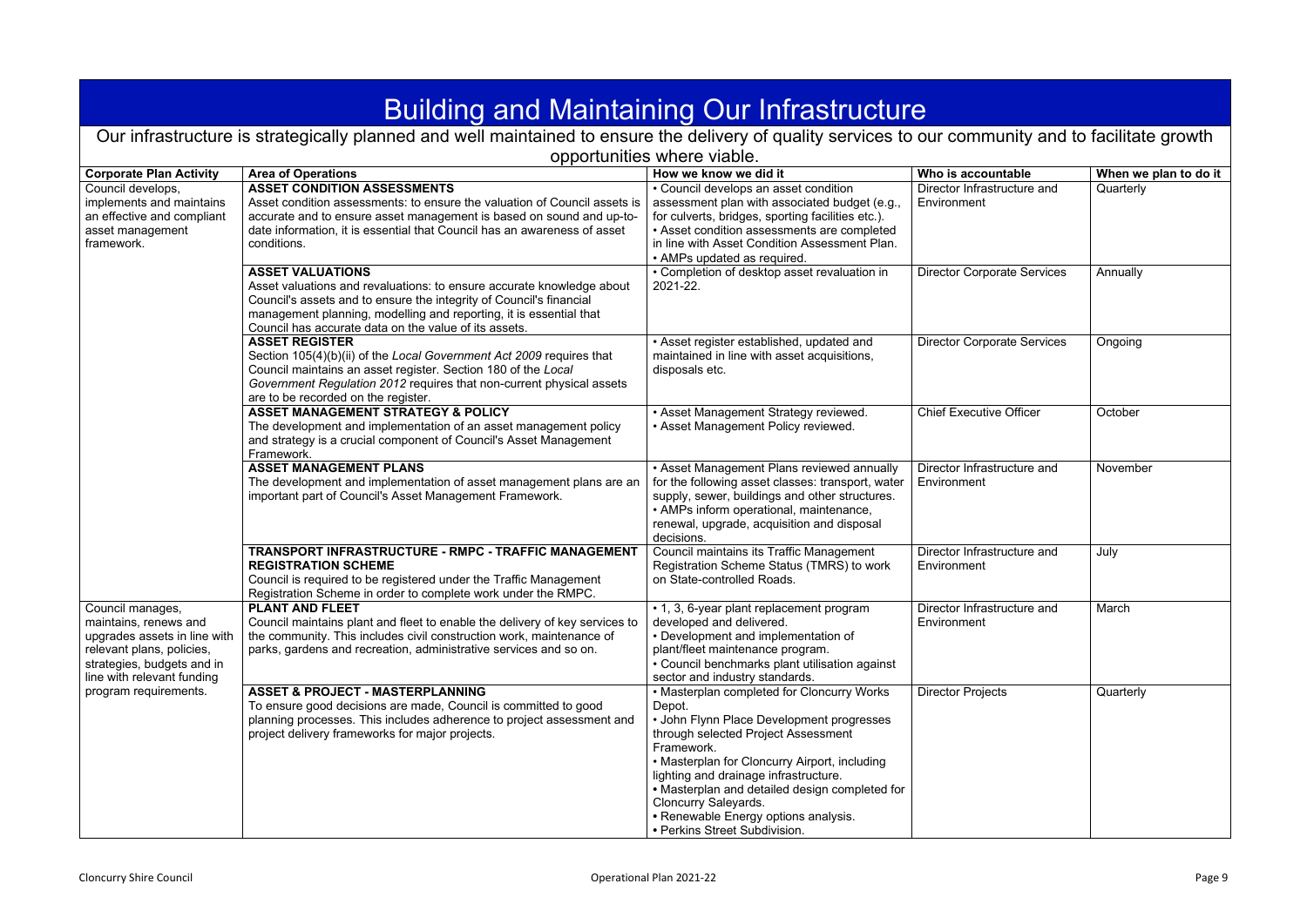## Building and Maintaining Our Infrastructure

| opportunities where viable. |
|-----------------------------|
|-----------------------------|

<span id="page-8-0"></span>

| <b>Building and Maintaining Our Infrastructure</b>                                                                                                                 |                                                                                                                                                                                                                                                                                                        |                                                                                                                                                                                                                                                                                                                                                                                                     |                                            |                       |  |
|--------------------------------------------------------------------------------------------------------------------------------------------------------------------|--------------------------------------------------------------------------------------------------------------------------------------------------------------------------------------------------------------------------------------------------------------------------------------------------------|-----------------------------------------------------------------------------------------------------------------------------------------------------------------------------------------------------------------------------------------------------------------------------------------------------------------------------------------------------------------------------------------------------|--------------------------------------------|-----------------------|--|
|                                                                                                                                                                    | Our infrastructure is strategically planned and well maintained to ensure the delivery of quality services to our community and to facilitate growth                                                                                                                                                   |                                                                                                                                                                                                                                                                                                                                                                                                     |                                            |                       |  |
|                                                                                                                                                                    |                                                                                                                                                                                                                                                                                                        | opportunities where viable.                                                                                                                                                                                                                                                                                                                                                                         |                                            |                       |  |
| <b>Corporate Plan Activity</b>                                                                                                                                     | <b>Area of Operations</b>                                                                                                                                                                                                                                                                              | How we know we did it                                                                                                                                                                                                                                                                                                                                                                               | Who is accountable                         | When we plan to do it |  |
| Council develops,<br>implements and maintains<br>an effective and compliant<br>asset management<br>framework.                                                      | <b>ASSET CONDITION ASSESSMENTS</b><br>Asset condition assessments: to ensure the valuation of Council assets is<br>accurate and to ensure asset management is based on sound and up-to-<br>date information, it is essential that Council has an awareness of asset<br>conditions.                     | • Council develops an asset condition<br>assessment plan with associated budget (e.g.,<br>for culverts, bridges, sporting facilities etc.).<br>• Asset condition assessments are completed<br>in line with Asset Condition Assessment Plan.<br>• AMPs updated as required.                                                                                                                          | Director Infrastructure and<br>Environment | Quarterly             |  |
|                                                                                                                                                                    | <b>ASSET VALUATIONS</b><br>Asset valuations and revaluations: to ensure accurate knowledge about<br>Council's assets and to ensure the integrity of Council's financial<br>management planning, modelling and reporting, it is essential that<br>Council has accurate data on the value of its assets. | • Completion of desktop asset revaluation in<br>2021-22.                                                                                                                                                                                                                                                                                                                                            | <b>Director Corporate Services</b>         | Annually              |  |
|                                                                                                                                                                    | <b>ASSET REGISTER</b><br>Section 105(4)(b)(ii) of the Local Government Act 2009 requires that<br>Council maintains an asset register. Section 180 of the Local<br>Government Regulation 2012 requires that non-current physical assets<br>are to be recorded on the register.                          | • Asset register established, updated and<br>maintained in line with asset acquisitions,<br>disposals etc.                                                                                                                                                                                                                                                                                          | <b>Director Corporate Services</b>         | Ongoing               |  |
|                                                                                                                                                                    | <b>ASSET MANAGEMENT STRATEGY &amp; POLICY</b><br>The development and implementation of an asset management policy<br>and strategy is a crucial component of Council's Asset Management<br>Framework.                                                                                                   | • Asset Management Strategy reviewed.<br>• Asset Management Policy reviewed.                                                                                                                                                                                                                                                                                                                        | <b>Chief Executive Officer</b>             | October               |  |
|                                                                                                                                                                    | <b>ASSET MANAGEMENT PLANS</b><br>The development and implementation of asset management plans are an<br>important part of Council's Asset Management Framework.                                                                                                                                        | • Asset Management Plans reviewed annually<br>for the following asset classes: transport, water<br>supply, sewer, buildings and other structures.<br>• AMPs inform operational, maintenance,<br>renewal, upgrade, acquisition and disposal<br>decisions.                                                                                                                                            | Director Infrastructure and<br>Environment | November              |  |
|                                                                                                                                                                    | TRANSPORT INFRASTRUCTURE - RMPC - TRAFFIC MANAGEMENT<br><b>REGISTRATION SCHEME</b><br>Council is required to be registered under the Traffic Management<br>Registration Scheme in order to complete work under the RMPC.                                                                               | Council maintains its Traffic Management<br>Registration Scheme Status (TMRS) to work<br>on State-controlled Roads.                                                                                                                                                                                                                                                                                 | Director Infrastructure and<br>Environment | July                  |  |
| Council manages,<br>maintains, renews and<br>upgrades assets in line with<br>relevant plans, policies,<br>strategies, budgets and in<br>line with relevant funding | <b>PLANT AND FLEET</b><br>Council maintains plant and fleet to enable the delivery of key services to<br>the community. This includes civil construction work, maintenance of<br>parks, gardens and recreation, administrative services and so on.                                                     | • 1, 3, 6-year plant replacement program<br>developed and delivered.<br>• Development and implementation of<br>plant/fleet maintenance program.<br>• Council benchmarks plant utilisation against<br>sector and industry standards.                                                                                                                                                                 | Director Infrastructure and<br>Environment | March                 |  |
| program requirements.                                                                                                                                              | <b>ASSET &amp; PROJECT - MASTERPLANNING</b><br>To ensure good decisions are made, Council is committed to good<br>planning processes. This includes adherence to project assessment and<br>project delivery frameworks for major projects.                                                             | • Masterplan completed for Cloncurry Works<br>Depot.<br>• John Flynn Place Development progresses<br>through selected Project Assessment<br>Framework.<br>• Masterplan for Cloncurry Airport, including<br>lighting and drainage infrastructure.<br>• Masterplan and detailed design completed for<br>Cloncurry Saleyards.<br>• Renewable Energy options analysis.<br>• Perkins Street Subdivision. | <b>Director Projects</b>                   | Quarterly             |  |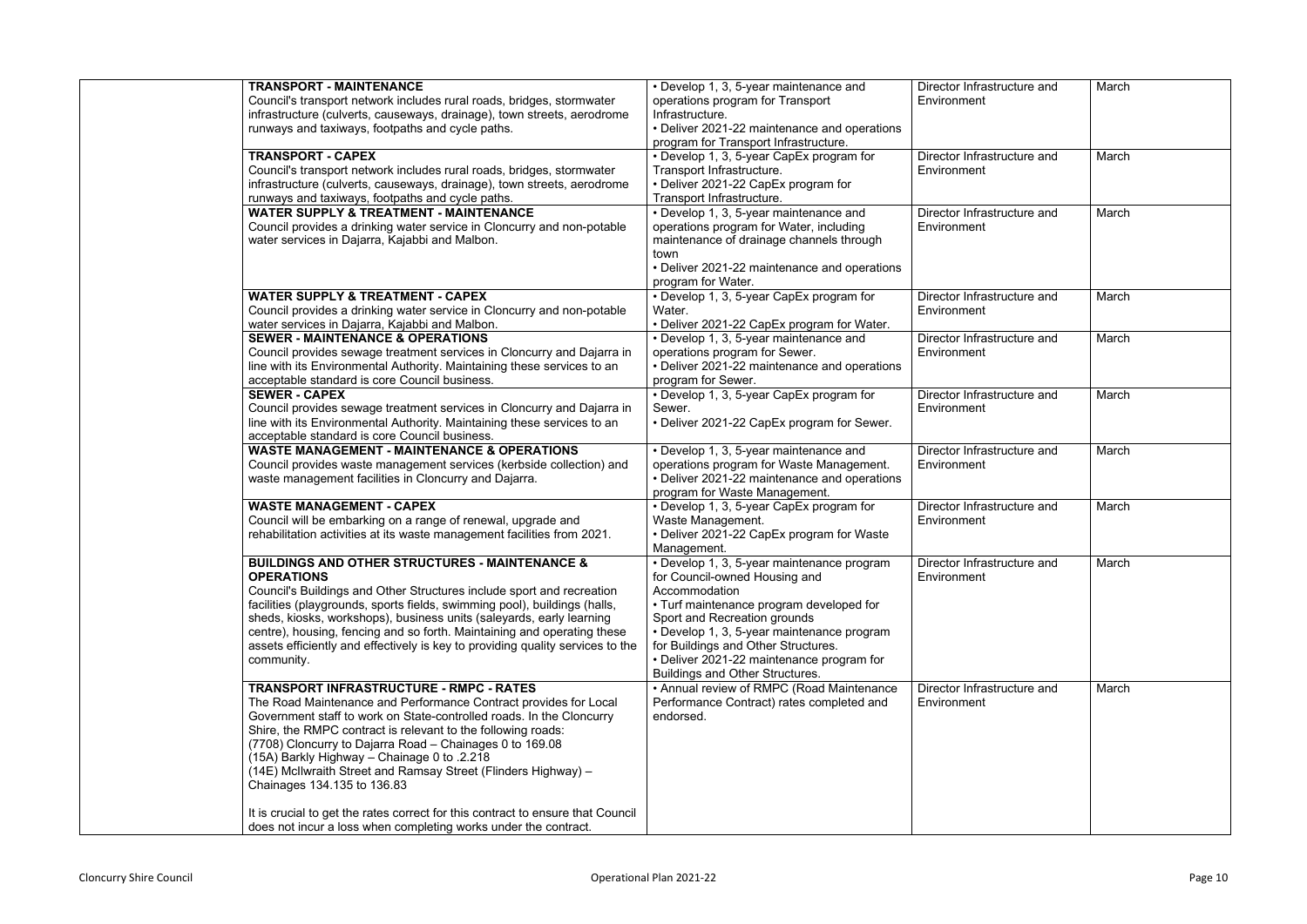| <b>TRANSPORT - MAINTENANCE</b><br>Council's transport network includes rural roads, bridges, stormwater<br>infrastructure (culverts, causeways, drainage), town streets, aerodrome<br>runways and taxiways, footpaths and cycle paths.                                                                                                                                                                                                                                                                                                                    | • Develop 1, 3, 5-year maintenance and<br>operations program for Transport<br>Infrastructure.<br>• Deliver 2021-22 maintenance and operations<br>program for Transport Infrastructure.                                                                                                                                                        | Director Infrastructure and<br>Environment | March |
|-----------------------------------------------------------------------------------------------------------------------------------------------------------------------------------------------------------------------------------------------------------------------------------------------------------------------------------------------------------------------------------------------------------------------------------------------------------------------------------------------------------------------------------------------------------|-----------------------------------------------------------------------------------------------------------------------------------------------------------------------------------------------------------------------------------------------------------------------------------------------------------------------------------------------|--------------------------------------------|-------|
| <b>TRANSPORT - CAPEX</b><br>Council's transport network includes rural roads, bridges, stormwater<br>infrastructure (culverts, causeways, drainage), town streets, aerodrome<br>runways and taxiways, footpaths and cycle paths.                                                                                                                                                                                                                                                                                                                          | • Develop 1, 3, 5-year CapEx program for<br>Transport Infrastructure.<br>• Deliver 2021-22 CapEx program for<br>Transport Infrastructure.                                                                                                                                                                                                     | Director Infrastructure and<br>Environment | March |
| <b>WATER SUPPLY &amp; TREATMENT - MAINTENANCE</b><br>Council provides a drinking water service in Cloncurry and non-potable<br>water services in Dajarra, Kajabbi and Malbon.                                                                                                                                                                                                                                                                                                                                                                             | • Develop 1, 3, 5-year maintenance and<br>operations program for Water, including<br>maintenance of drainage channels through<br>town<br>• Deliver 2021-22 maintenance and operations<br>program for Water.                                                                                                                                   | Director Infrastructure and<br>Environment | March |
| <b>WATER SUPPLY &amp; TREATMENT - CAPEX</b><br>Council provides a drinking water service in Cloncurry and non-potable<br>water services in Dajarra, Kajabbi and Malbon.                                                                                                                                                                                                                                                                                                                                                                                   | • Develop 1, 3, 5-year CapEx program for<br>Water.<br>• Deliver 2021-22 CapEx program for Water.                                                                                                                                                                                                                                              | Director Infrastructure and<br>Environment | March |
| <b>SEWER - MAINTENANCE &amp; OPERATIONS</b><br>Council provides sewage treatment services in Cloncurry and Dajarra in<br>line with its Environmental Authority. Maintaining these services to an<br>acceptable standard is core Council business.                                                                                                                                                                                                                                                                                                         | • Develop 1, 3, 5-year maintenance and<br>operations program for Sewer.<br>• Deliver 2021-22 maintenance and operations<br>program for Sewer.                                                                                                                                                                                                 | Director Infrastructure and<br>Environment | March |
| <b>SEWER - CAPEX</b><br>Council provides sewage treatment services in Cloncurry and Dajarra in<br>line with its Environmental Authority. Maintaining these services to an<br>acceptable standard is core Council business.                                                                                                                                                                                                                                                                                                                                | • Develop 1, 3, 5-year CapEx program for<br>Sewer.<br>• Deliver 2021-22 CapEx program for Sewer.                                                                                                                                                                                                                                              | Director Infrastructure and<br>Environment | March |
| <b>WASTE MANAGEMENT - MAINTENANCE &amp; OPERATIONS</b><br>Council provides waste management services (kerbside collection) and<br>waste management facilities in Cloncurry and Dajarra.                                                                                                                                                                                                                                                                                                                                                                   | • Develop 1, 3, 5-year maintenance and<br>operations program for Waste Management.<br>• Deliver 2021-22 maintenance and operations<br>program for Waste Management.                                                                                                                                                                           | Director Infrastructure and<br>Environment | March |
| <b>WASTE MANAGEMENT - CAPEX</b><br>Council will be embarking on a range of renewal, upgrade and<br>rehabilitation activities at its waste management facilities from 2021.                                                                                                                                                                                                                                                                                                                                                                                | • Develop 1, 3, 5-year CapEx program for<br>Waste Management.<br>• Deliver 2021-22 CapEx program for Waste<br>Management.                                                                                                                                                                                                                     | Director Infrastructure and<br>Environment | March |
| <b>BUILDINGS AND OTHER STRUCTURES - MAINTENANCE &amp;</b><br><b>OPERATIONS</b><br>Council's Buildings and Other Structures include sport and recreation<br>facilities (playgrounds, sports fields, swimming pool), buildings (halls,<br>sheds, kiosks, workshops), business units (saleyards, early learning<br>centre), housing, fencing and so forth. Maintaining and operating these<br>assets efficiently and effectively is key to providing quality services to the<br>community.                                                                   | • Develop 1, 3, 5-year maintenance program<br>for Council-owned Housing and<br>Accommodation<br>• Turf maintenance program developed for<br>Sport and Recreation grounds<br>• Develop 1, 3, 5-year maintenance program<br>for Buildings and Other Structures.<br>• Deliver 2021-22 maintenance program for<br>Buildings and Other Structures. | Director Infrastructure and<br>Environment | March |
| <b>TRANSPORT INFRASTRUCTURE - RMPC - RATES</b><br>The Road Maintenance and Performance Contract provides for Local<br>Government staff to work on State-controlled roads. In the Cloncurry<br>Shire, the RMPC contract is relevant to the following roads:<br>(7708) Cloncurry to Dajarra Road - Chainages 0 to 169.08<br>(15A) Barkly Highway - Chainage 0 to .2.218<br>(14E) McIlwraith Street and Ramsay Street (Flinders Highway) -<br>Chainages 134.135 to 136.83<br>It is crucial to get the rates correct for this contract to ensure that Council | • Annual review of RMPC (Road Maintenance<br>Performance Contract) rates completed and<br>endorsed.                                                                                                                                                                                                                                           | Director Infrastructure and<br>Environment | March |
| does not incur a loss when completing works under the contract.                                                                                                                                                                                                                                                                                                                                                                                                                                                                                           |                                                                                                                                                                                                                                                                                                                                               |                                            |       |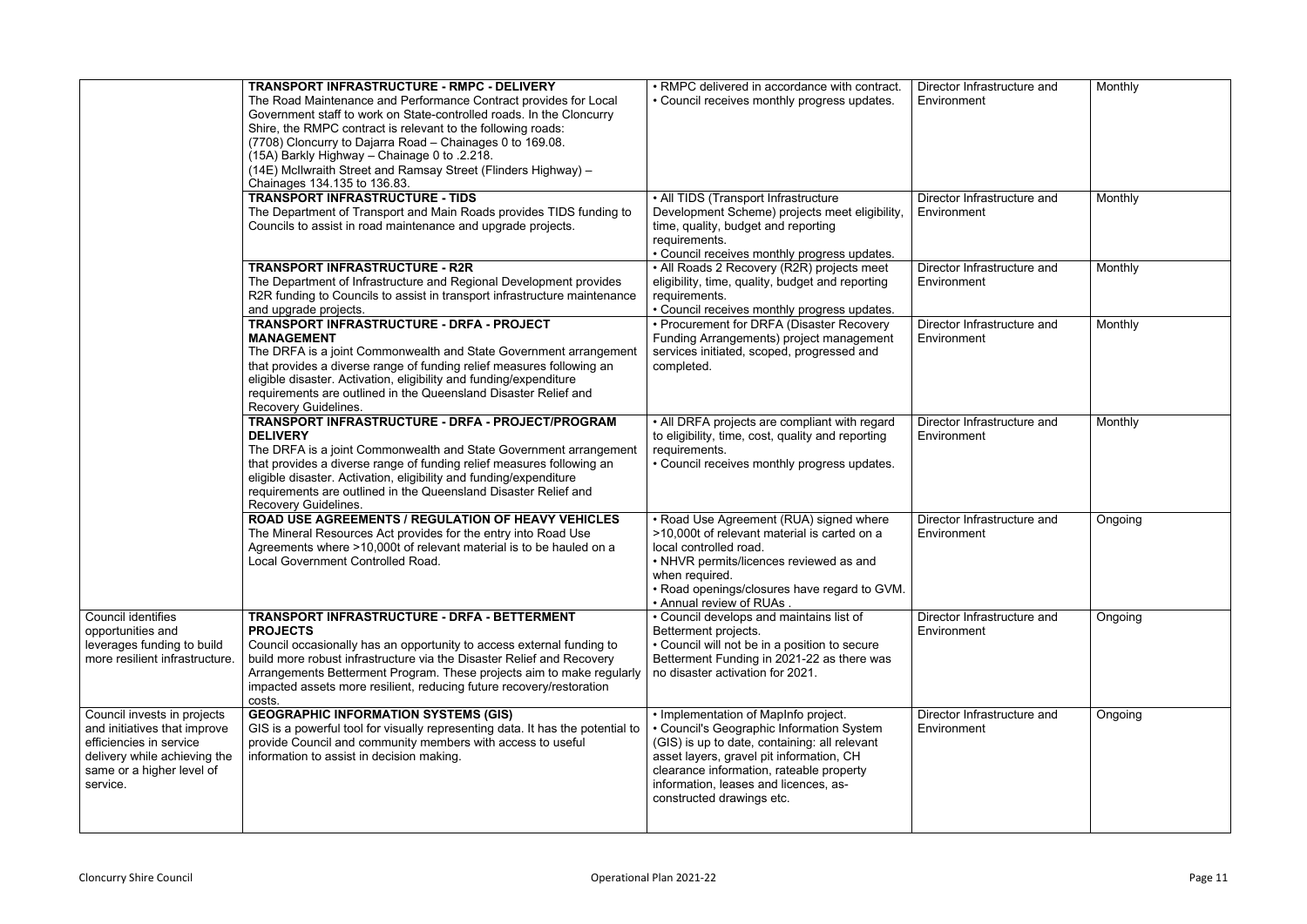|                                                                                                                                                                 | TRANSPORT INFRASTRUCTURE - RMPC - DELIVERY<br>The Road Maintenance and Performance Contract provides for Local<br>Government staff to work on State-controlled roads. In the Cloncurry<br>Shire, the RMPC contract is relevant to the following roads:<br>(7708) Cloncurry to Dajarra Road - Chainages 0 to 169.08.<br>(15A) Barkly Highway - Chainage 0 to .2.218.<br>(14E) McIlwraith Street and Ramsay Street (Flinders Highway) -<br>Chainages 134.135 to 136.83. | • RMPC delivered in accordance with contract.<br>• Council receives monthly progress updates.                                                                                                                                                                                                    | Director Infrastructure and<br>Environment | Monthly |
|-----------------------------------------------------------------------------------------------------------------------------------------------------------------|-----------------------------------------------------------------------------------------------------------------------------------------------------------------------------------------------------------------------------------------------------------------------------------------------------------------------------------------------------------------------------------------------------------------------------------------------------------------------|--------------------------------------------------------------------------------------------------------------------------------------------------------------------------------------------------------------------------------------------------------------------------------------------------|--------------------------------------------|---------|
|                                                                                                                                                                 | TRANSPORT INFRASTRUCTURE - TIDS<br>The Department of Transport and Main Roads provides TIDS funding to<br>Councils to assist in road maintenance and upgrade projects.                                                                                                                                                                                                                                                                                                | • All TIDS (Transport Infrastructure<br>Development Scheme) projects meet eligibility,<br>time, quality, budget and reporting<br>requirements.<br>• Council receives monthly progress updates.                                                                                                   | Director Infrastructure and<br>Environment | Monthly |
|                                                                                                                                                                 | <b>TRANSPORT INFRASTRUCTURE - R2R</b><br>The Department of Infrastructure and Regional Development provides<br>R2R funding to Councils to assist in transport infrastructure maintenance<br>and upgrade projects.                                                                                                                                                                                                                                                     | • All Roads 2 Recovery (R2R) projects meet<br>eligibility, time, quality, budget and reporting<br>requirements.<br>• Council receives monthly progress updates.                                                                                                                                  | Director Infrastructure and<br>Environment | Monthly |
|                                                                                                                                                                 | TRANSPORT INFRASTRUCTURE - DRFA - PROJECT<br><b>MANAGEMENT</b><br>The DRFA is a joint Commonwealth and State Government arrangement<br>that provides a diverse range of funding relief measures following an<br>eligible disaster. Activation, eligibility and funding/expenditure<br>requirements are outlined in the Queensland Disaster Relief and<br><b>Recovery Guidelines.</b>                                                                                  | • Procurement for DRFA (Disaster Recovery<br>Funding Arrangements) project management<br>services initiated, scoped, progressed and<br>completed.                                                                                                                                                | Director Infrastructure and<br>Environment | Monthly |
|                                                                                                                                                                 | TRANSPORT INFRASTRUCTURE - DRFA - PROJECT/PROGRAM<br><b>DELIVERY</b><br>The DRFA is a joint Commonwealth and State Government arrangement<br>that provides a diverse range of funding relief measures following an<br>eligible disaster. Activation, eligibility and funding/expenditure<br>requirements are outlined in the Queensland Disaster Relief and<br><b>Recovery Guidelines.</b>                                                                            | • All DRFA projects are compliant with regard<br>to eligibility, time, cost, quality and reporting<br>requirements.<br>• Council receives monthly progress updates.                                                                                                                              | Director Infrastructure and<br>Environment | Monthly |
|                                                                                                                                                                 | <b>ROAD USE AGREEMENTS / REGULATION OF HEAVY VEHICLES</b><br>The Mineral Resources Act provides for the entry into Road Use<br>Agreements where >10,000t of relevant material is to be hauled on a<br>Local Government Controlled Road.                                                                                                                                                                                                                               | • Road Use Agreement (RUA) signed where<br>>10,000t of relevant material is carted on a<br>local controlled road.<br>• NHVR permits/licences reviewed as and<br>when required.<br>• Road openings/closures have regard to GVM.<br>• Annual review of RUAs.                                       | Director Infrastructure and<br>Environment | Ongoing |
| <b>Council identifies</b><br>opportunities and<br>leverages funding to build<br>more resilient infrastructure.                                                  | TRANSPORT INFRASTRUCTURE - DRFA - BETTERMENT<br><b>PROJECTS</b><br>Council occasionally has an opportunity to access external funding to<br>build more robust infrastructure via the Disaster Relief and Recovery<br>Arrangements Betterment Program. These projects aim to make regularly<br>impacted assets more resilient, reducing future recovery/restoration<br>costs.                                                                                          | • Council develops and maintains list of<br>Betterment projects.<br>• Council will not be in a position to secure<br>Betterment Funding in 2021-22 as there was<br>no disaster activation for 2021.                                                                                              | Director Infrastructure and<br>Environment | Ongoing |
| Council invests in projects<br>and initiatives that improve<br>efficiencies in service<br>delivery while achieving the<br>same or a higher level of<br>service. | <b>GEOGRAPHIC INFORMATION SYSTEMS (GIS)</b><br>GIS is a powerful tool for visually representing data. It has the potential to<br>provide Council and community members with access to useful<br>information to assist in decision making.                                                                                                                                                                                                                             | • Implementation of MapInfo project.<br>• Council's Geographic Information System<br>(GIS) is up to date, containing: all relevant<br>asset layers, gravel pit information, CH<br>clearance information, rateable property<br>information, leases and licences, as-<br>constructed drawings etc. | Director Infrastructure and<br>Environment | Ongoing |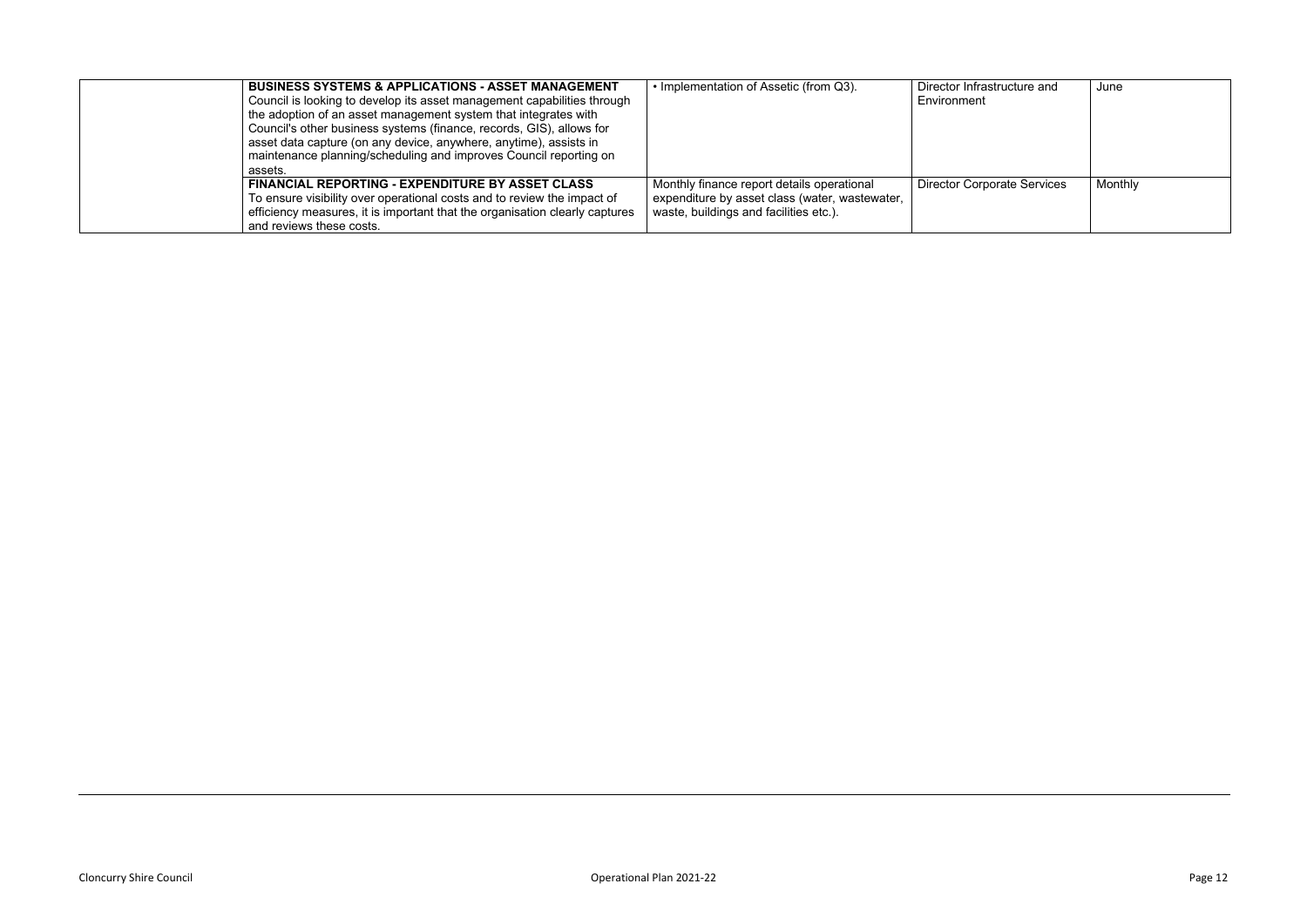| assets. | <b>BUSINESS SYSTEMS &amp; APPLICATIONS - ASSET MANAGEMENT</b><br>Council is looking to develop its asset management capabilities through<br>the adoption of an asset management system that integrates with<br>Council's other business systems (finance, records, GIS), allows for<br>asset data capture (on any device, anywhere, anytime), assists in<br>maintenance planning/scheduling and improves Council reporting on | • Implementation of Assetic (from Q3).                                                                                                 | Director Infrastructure and<br>Environment | June    |
|---------|-------------------------------------------------------------------------------------------------------------------------------------------------------------------------------------------------------------------------------------------------------------------------------------------------------------------------------------------------------------------------------------------------------------------------------|----------------------------------------------------------------------------------------------------------------------------------------|--------------------------------------------|---------|
|         | FINANCIAL REPORTING - EXPENDITURE BY ASSET CLASS<br>To ensure visibility over operational costs and to review the impact of<br>efficiency measures, it is important that the organisation clearly captures<br>and reviews these costs.                                                                                                                                                                                        | Monthly finance report details operational<br>expenditure by asset class (water, wastewater,<br>waste, buildings and facilities etc.). | <b>Director Corporate Services</b>         | Monthly |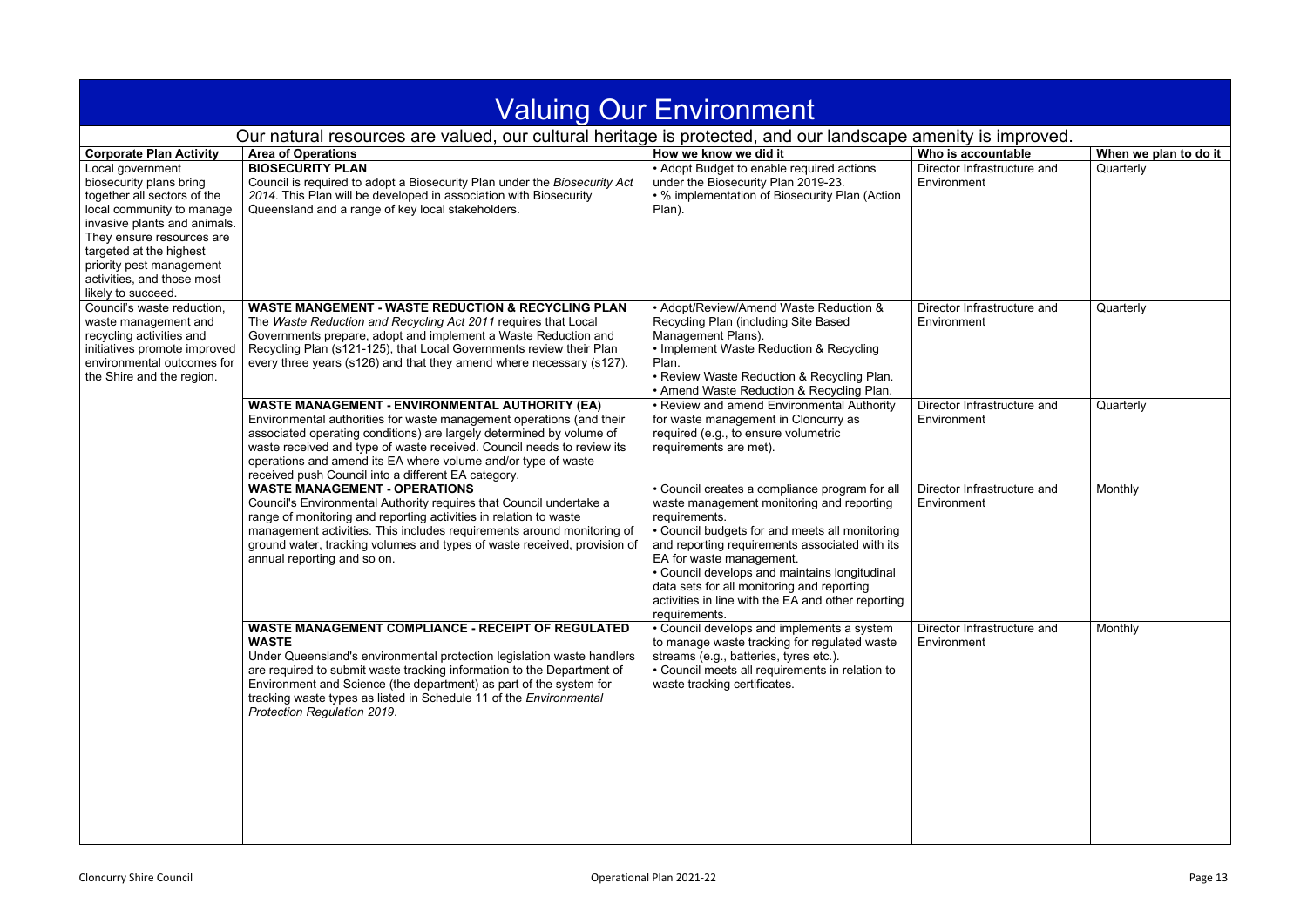<span id="page-12-0"></span>

|                                                                                                                                                                                                                                                                                 |                                                                                                                                                                                                                                                                                                                                                                                                          | <b>Valuing Our Environment</b>                                                                                                                                                                                                                                                                                                                                                                                     |                                            |                       |
|---------------------------------------------------------------------------------------------------------------------------------------------------------------------------------------------------------------------------------------------------------------------------------|----------------------------------------------------------------------------------------------------------------------------------------------------------------------------------------------------------------------------------------------------------------------------------------------------------------------------------------------------------------------------------------------------------|--------------------------------------------------------------------------------------------------------------------------------------------------------------------------------------------------------------------------------------------------------------------------------------------------------------------------------------------------------------------------------------------------------------------|--------------------------------------------|-----------------------|
|                                                                                                                                                                                                                                                                                 | Our natural resources are valued, our cultural heritage is protected, and our landscape amenity is improved.                                                                                                                                                                                                                                                                                             |                                                                                                                                                                                                                                                                                                                                                                                                                    |                                            |                       |
| <b>Corporate Plan Activity</b>                                                                                                                                                                                                                                                  | <b>Area of Operations</b>                                                                                                                                                                                                                                                                                                                                                                                | How we know we did it                                                                                                                                                                                                                                                                                                                                                                                              | Who is accountable                         | When we plan to do it |
| Local government<br>biosecurity plans bring<br>together all sectors of the<br>local community to manage<br>invasive plants and animals.<br>They ensure resources are<br>targeted at the highest<br>priority pest management<br>activities, and those most<br>likely to succeed. | <b>BIOSECURITY PLAN</b><br>Council is required to adopt a Biosecurity Plan under the Biosecurity Act<br>2014. This Plan will be developed in association with Biosecurity<br>Queensland and a range of key local stakeholders.                                                                                                                                                                           | • Adopt Budget to enable required actions<br>under the Biosecurity Plan 2019-23.<br>• % implementation of Biosecurity Plan (Action<br>Plan).                                                                                                                                                                                                                                                                       | Director Infrastructure and<br>Environment | Quarterly             |
| Council's waste reduction,<br>waste management and<br>recycling activities and<br>initiatives promote improved<br>environmental outcomes for<br>the Shire and the region.                                                                                                       | <b>WASTE MANGEMENT - WASTE REDUCTION &amp; RECYCLING PLAN</b><br>The Waste Reduction and Recycling Act 2011 requires that Local<br>Governments prepare, adopt and implement a Waste Reduction and<br>Recycling Plan (s121-125), that Local Governments review their Plan<br>every three years (s126) and that they amend where necessary (s127).                                                         | • Adopt/Review/Amend Waste Reduction &<br>Recycling Plan (including Site Based<br>Management Plans).<br>• Implement Waste Reduction & Recycling<br>Plan.<br>• Review Waste Reduction & Recycling Plan.<br>• Amend Waste Reduction & Recycling Plan.                                                                                                                                                                | Director Infrastructure and<br>Environment | Quarterly             |
|                                                                                                                                                                                                                                                                                 | <b>WASTE MANAGEMENT - ENVIRONMENTAL AUTHORITY (EA)</b><br>Environmental authorities for waste management operations (and their<br>associated operating conditions) are largely determined by volume of<br>waste received and type of waste received. Council needs to review its<br>operations and amend its EA where volume and/or type of waste<br>received push Council into a different EA category. | • Review and amend Environmental Authority<br>for waste management in Cloncurry as<br>required (e.g., to ensure volumetric<br>requirements are met).                                                                                                                                                                                                                                                               | Director Infrastructure and<br>Environment | Quarterly             |
|                                                                                                                                                                                                                                                                                 | <b>WASTE MANAGEMENT - OPERATIONS</b><br>Council's Environmental Authority requires that Council undertake a<br>range of monitoring and reporting activities in relation to waste<br>management activities. This includes requirements around monitoring of<br>ground water, tracking volumes and types of waste received, provision of<br>annual reporting and so on.                                    | • Council creates a compliance program for all<br>waste management monitoring and reporting<br>requirements.<br>• Council budgets for and meets all monitoring<br>and reporting requirements associated with its<br>EA for waste management.<br>• Council develops and maintains longitudinal<br>data sets for all monitoring and reporting<br>activities in line with the EA and other reporting<br>requirements. | Director Infrastructure and<br>Environment | Monthly               |
|                                                                                                                                                                                                                                                                                 | <b>WASTE MANAGEMENT COMPLIANCE - RECEIPT OF REGULATED</b><br><b>WASTE</b><br>Under Queensland's environmental protection legislation waste handlers<br>are required to submit waste tracking information to the Department of<br>Environment and Science (the department) as part of the system for<br>tracking waste types as listed in Schedule 11 of the Environmental<br>Protection Regulation 2019. | • Council develops and implements a system<br>to manage waste tracking for regulated waste<br>streams (e.g., batteries, tyres etc.).<br>• Council meets all requirements in relation to<br>waste tracking certificates.                                                                                                                                                                                            | Director Infrastructure and<br>Environment | Monthly               |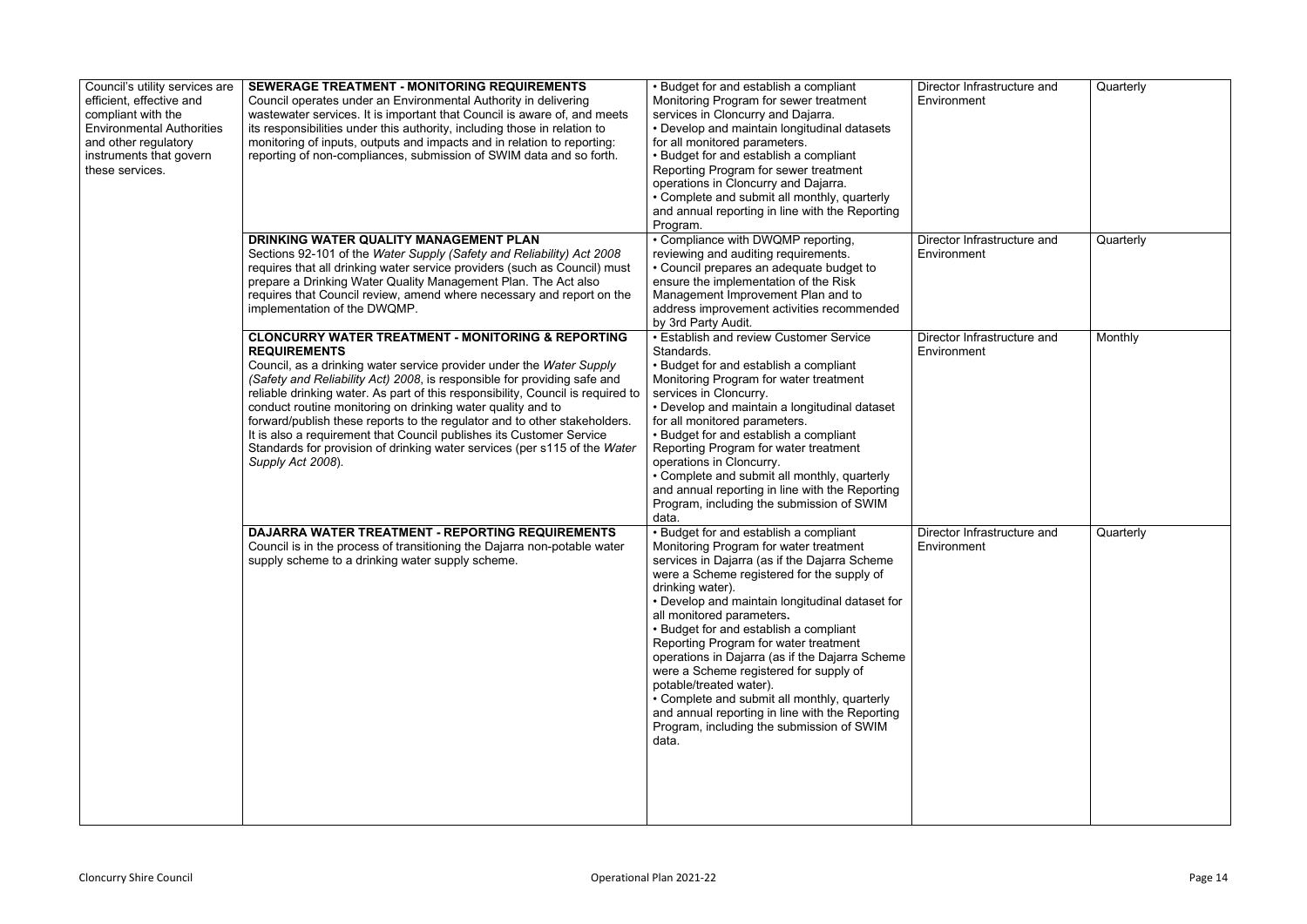| Council's utility services are<br>efficient, effective and<br>compliant with the<br><b>Environmental Authorities</b><br>and other regulatory<br>instruments that govern<br>these services. | <b>SEWERAGE TREATMENT - MONITORING REQUIREMENTS</b><br>Council operates under an Environmental Authority in delivering<br>wastewater services. It is important that Council is aware of, and meets<br>its responsibilities under this authority, including those in relation to<br>monitoring of inputs, outputs and impacts and in relation to reporting:<br>reporting of non-compliances, submission of SWIM data and so forth.                                                                                                                                                                                                                 | • Budget for and establish a compliant<br>Monitoring Program for sewer treatment<br>services in Cloncurry and Dajarra.<br>• Develop and maintain longitudinal datasets<br>for all monitored parameters.<br>• Budget for and establish a compliant<br>Reporting Program for sewer treatment<br>operations in Cloncurry and Dajarra.<br>• Complete and submit all monthly, quarterly<br>and annual reporting in line with the Reporting<br>Program.                                                                                                                                                                                                       | Director Infrastructure and<br>Environment | Quarterly |
|--------------------------------------------------------------------------------------------------------------------------------------------------------------------------------------------|---------------------------------------------------------------------------------------------------------------------------------------------------------------------------------------------------------------------------------------------------------------------------------------------------------------------------------------------------------------------------------------------------------------------------------------------------------------------------------------------------------------------------------------------------------------------------------------------------------------------------------------------------|---------------------------------------------------------------------------------------------------------------------------------------------------------------------------------------------------------------------------------------------------------------------------------------------------------------------------------------------------------------------------------------------------------------------------------------------------------------------------------------------------------------------------------------------------------------------------------------------------------------------------------------------------------|--------------------------------------------|-----------|
|                                                                                                                                                                                            | DRINKING WATER QUALITY MANAGEMENT PLAN<br>Sections 92-101 of the Water Supply (Safety and Reliability) Act 2008<br>requires that all drinking water service providers (such as Council) must<br>prepare a Drinking Water Quality Management Plan. The Act also<br>requires that Council review, amend where necessary and report on the<br>implementation of the DWQMP.                                                                                                                                                                                                                                                                           | • Compliance with DWQMP reporting,<br>reviewing and auditing requirements.<br>• Council prepares an adequate budget to<br>ensure the implementation of the Risk<br>Management Improvement Plan and to<br>address improvement activities recommended<br>by 3rd Party Audit.                                                                                                                                                                                                                                                                                                                                                                              | Director Infrastructure and<br>Environment | Quarterly |
|                                                                                                                                                                                            | <b>CLONCURRY WATER TREATMENT - MONITORING &amp; REPORTING</b><br><b>REQUIREMENTS</b><br>Council, as a drinking water service provider under the Water Supply<br>(Safety and Reliability Act) 2008, is responsible for providing safe and<br>reliable drinking water. As part of this responsibility, Council is required to<br>conduct routine monitoring on drinking water quality and to<br>forward/publish these reports to the regulator and to other stakeholders.<br>It is also a requirement that Council publishes its Customer Service<br>Standards for provision of drinking water services (per s115 of the Water<br>Supply Act 2008). | • Establish and review Customer Service<br>Standards.<br>• Budget for and establish a compliant<br>Monitoring Program for water treatment<br>services in Cloncurry.<br>• Develop and maintain a longitudinal dataset<br>for all monitored parameters.<br>• Budget for and establish a compliant<br>Reporting Program for water treatment<br>operations in Cloncurry.<br>• Complete and submit all monthly, quarterly<br>and annual reporting in line with the Reporting<br>Program, including the submission of SWIM<br>data.                                                                                                                           | Director Infrastructure and<br>Environment | Monthly   |
|                                                                                                                                                                                            | DAJARRA WATER TREATMENT - REPORTING REQUIREMENTS<br>Council is in the process of transitioning the Dajarra non-potable water<br>supply scheme to a drinking water supply scheme.                                                                                                                                                                                                                                                                                                                                                                                                                                                                  | • Budget for and establish a compliant<br>Monitoring Program for water treatment<br>services in Dajarra (as if the Dajarra Scheme<br>were a Scheme registered for the supply of<br>drinking water).<br>• Develop and maintain longitudinal dataset for<br>all monitored parameters.<br>• Budget for and establish a compliant<br>Reporting Program for water treatment<br>operations in Dajarra (as if the Dajarra Scheme<br>were a Scheme registered for supply of<br>potable/treated water).<br>• Complete and submit all monthly, quarterly<br>and annual reporting in line with the Reporting<br>Program, including the submission of SWIM<br>data. | Director Infrastructure and<br>Environment | Quarterly |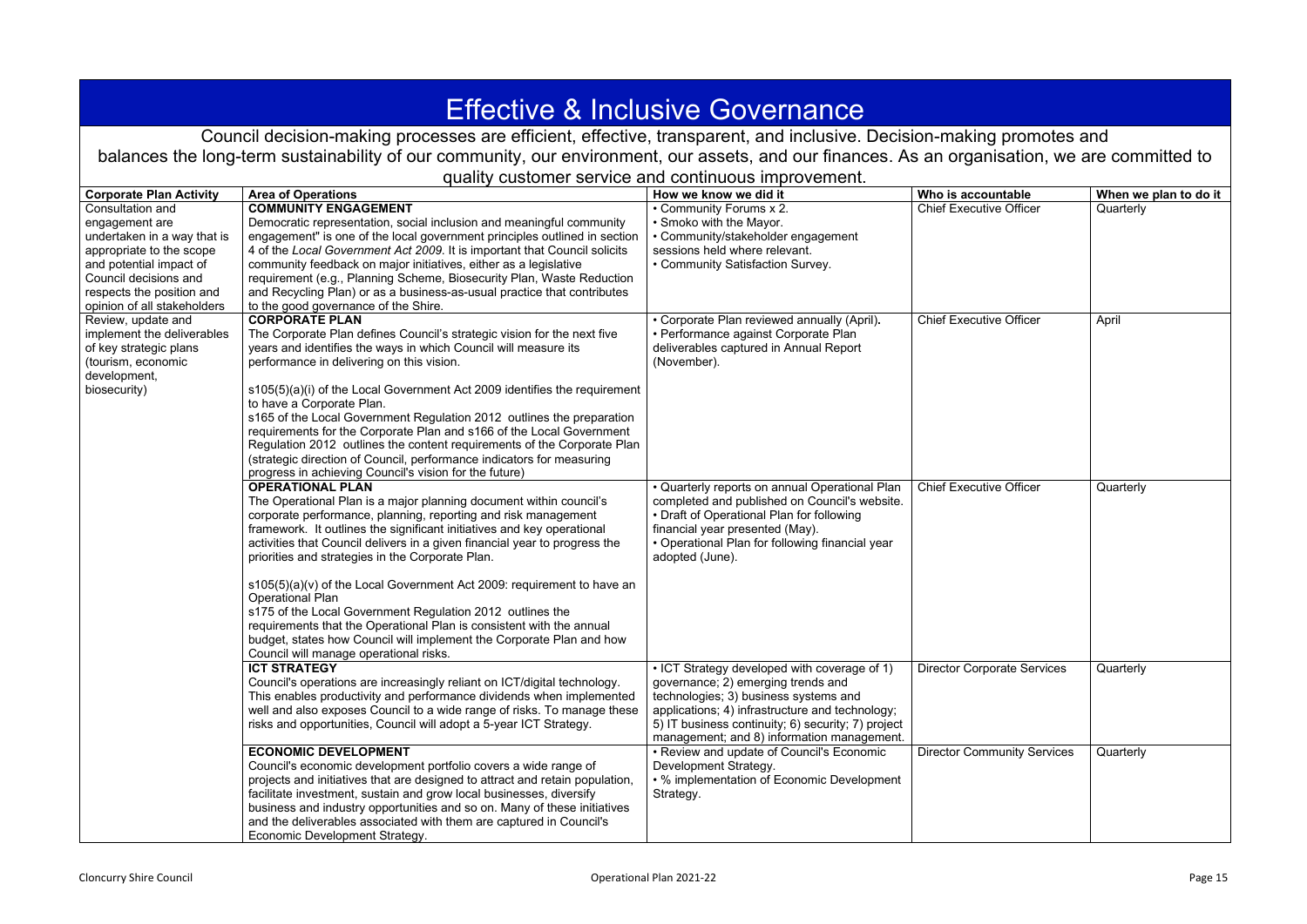<span id="page-14-0"></span>

| <b>Effective &amp; Inclusive Governance</b>         |                                                                                                                                                    |                                                                                    |                                    |                       |  |
|-----------------------------------------------------|----------------------------------------------------------------------------------------------------------------------------------------------------|------------------------------------------------------------------------------------|------------------------------------|-----------------------|--|
|                                                     | Council decision-making processes are efficient, effective, transparent, and inclusive. Decision-making promotes and                               |                                                                                    |                                    |                       |  |
|                                                     | balances the long-term sustainability of our community, our environment, our assets, and our finances. As an organisation, we are committed to     |                                                                                    |                                    |                       |  |
|                                                     |                                                                                                                                                    | quality customer service and continuous improvement.                               |                                    |                       |  |
| <b>Corporate Plan Activity</b>                      | <b>Area of Operations</b>                                                                                                                          | How we know we did it                                                              | Who is accountable                 | When we plan to do it |  |
| Consultation and                                    | <b>COMMUNITY ENGAGEMENT</b>                                                                                                                        | • Community Forums x 2.                                                            | <b>Chief Executive Officer</b>     | Quarterly             |  |
| engagement are                                      | Democratic representation, social inclusion and meaningful community                                                                               | • Smoko with the Mayor.                                                            |                                    |                       |  |
| undertaken in a way that is                         | engagement" is one of the local government principles outlined in section                                                                          | • Community/stakeholder engagement<br>sessions held where relevant.                |                                    |                       |  |
| appropriate to the scope<br>and potential impact of | 4 of the Local Government Act 2009. It is important that Council solicits<br>community feedback on major initiatives, either as a legislative      | • Community Satisfaction Survey.                                                   |                                    |                       |  |
| Council decisions and                               | requirement (e.g., Planning Scheme, Biosecurity Plan, Waste Reduction                                                                              |                                                                                    |                                    |                       |  |
| respects the position and                           | and Recycling Plan) or as a business-as-usual practice that contributes                                                                            |                                                                                    |                                    |                       |  |
| opinion of all stakeholders                         | to the good governance of the Shire.                                                                                                               |                                                                                    |                                    |                       |  |
| Review, update and                                  | <b>CORPORATE PLAN</b>                                                                                                                              | • Corporate Plan reviewed annually (April).                                        | <b>Chief Executive Officer</b>     | April                 |  |
| implement the deliverables                          | The Corporate Plan defines Council's strategic vision for the next five                                                                            | • Performance against Corporate Plan                                               |                                    |                       |  |
| of key strategic plans                              | years and identifies the ways in which Council will measure its<br>performance in delivering on this vision.                                       | deliverables captured in Annual Report                                             |                                    |                       |  |
| (tourism, economic<br>development,                  |                                                                                                                                                    | (November).                                                                        |                                    |                       |  |
| biosecurity)                                        | s105(5)(a)(i) of the Local Government Act 2009 identifies the requirement                                                                          |                                                                                    |                                    |                       |  |
|                                                     | to have a Corporate Plan.                                                                                                                          |                                                                                    |                                    |                       |  |
|                                                     | s165 of the Local Government Regulation 2012 outlines the preparation                                                                              |                                                                                    |                                    |                       |  |
|                                                     | requirements for the Corporate Plan and s166 of the Local Government                                                                               |                                                                                    |                                    |                       |  |
|                                                     | Regulation 2012 outlines the content requirements of the Corporate Plan<br>(strategic direction of Council, performance indicators for measuring   |                                                                                    |                                    |                       |  |
|                                                     | progress in achieving Council's vision for the future)                                                                                             |                                                                                    |                                    |                       |  |
|                                                     | <b>OPERATIONAL PLAN</b>                                                                                                                            | • Quarterly reports on annual Operational Plan                                     | <b>Chief Executive Officer</b>     | Quarterly             |  |
|                                                     | The Operational Plan is a major planning document within council's                                                                                 | completed and published on Council's website.                                      |                                    |                       |  |
|                                                     | corporate performance, planning, reporting and risk management                                                                                     | • Draft of Operational Plan for following                                          |                                    |                       |  |
|                                                     | framework. It outlines the significant initiatives and key operational                                                                             | financial year presented (May).                                                    |                                    |                       |  |
|                                                     | activities that Council delivers in a given financial year to progress the                                                                         | • Operational Plan for following financial year                                    |                                    |                       |  |
|                                                     | priorities and strategies in the Corporate Plan.                                                                                                   | adopted (June).                                                                    |                                    |                       |  |
|                                                     | s105(5)(a)(v) of the Local Government Act 2009: requirement to have an<br><b>Operational Plan</b>                                                  |                                                                                    |                                    |                       |  |
|                                                     | s175 of the Local Government Regulation 2012 outlines the                                                                                          |                                                                                    |                                    |                       |  |
|                                                     | requirements that the Operational Plan is consistent with the annual                                                                               |                                                                                    |                                    |                       |  |
|                                                     | budget, states how Council will implement the Corporate Plan and how                                                                               |                                                                                    |                                    |                       |  |
|                                                     | Council will manage operational risks.                                                                                                             |                                                                                    |                                    |                       |  |
|                                                     | <b>ICT STRATEGY</b><br>Council's operations are increasingly reliant on ICT/digital technology.                                                    | • ICT Strategy developed with coverage of 1)<br>governance; 2) emerging trends and | <b>Director Corporate Services</b> | Quarterly             |  |
|                                                     | This enables productivity and performance dividends when implemented                                                                               | technologies; 3) business systems and                                              |                                    |                       |  |
|                                                     | well and also exposes Council to a wide range of risks. To manage these                                                                            | applications; 4) infrastructure and technology;                                    |                                    |                       |  |
|                                                     | risks and opportunities, Council will adopt a 5-year ICT Strategy.                                                                                 | 5) IT business continuity; 6) security; 7) project                                 |                                    |                       |  |
|                                                     |                                                                                                                                                    | management; and 8) information management.                                         |                                    |                       |  |
|                                                     | <b>ECONOMIC DEVELOPMENT</b>                                                                                                                        | • Review and update of Council's Economic                                          | <b>Director Community Services</b> | Quarterly             |  |
|                                                     | Council's economic development portfolio covers a wide range of                                                                                    | Development Strategy.                                                              |                                    |                       |  |
|                                                     | projects and initiatives that are designed to attract and retain population<br>facilitate investment, sustain and grow local businesses, diversify | • % implementation of Economic Development<br>Strategy.                            |                                    |                       |  |
|                                                     | business and industry opportunities and so on. Many of these initiatives                                                                           |                                                                                    |                                    |                       |  |
|                                                     | and the deliverables associated with them are captured in Council's                                                                                |                                                                                    |                                    |                       |  |
|                                                     | <b>Economic Development Strategy.</b>                                                                                                              |                                                                                    |                                    |                       |  |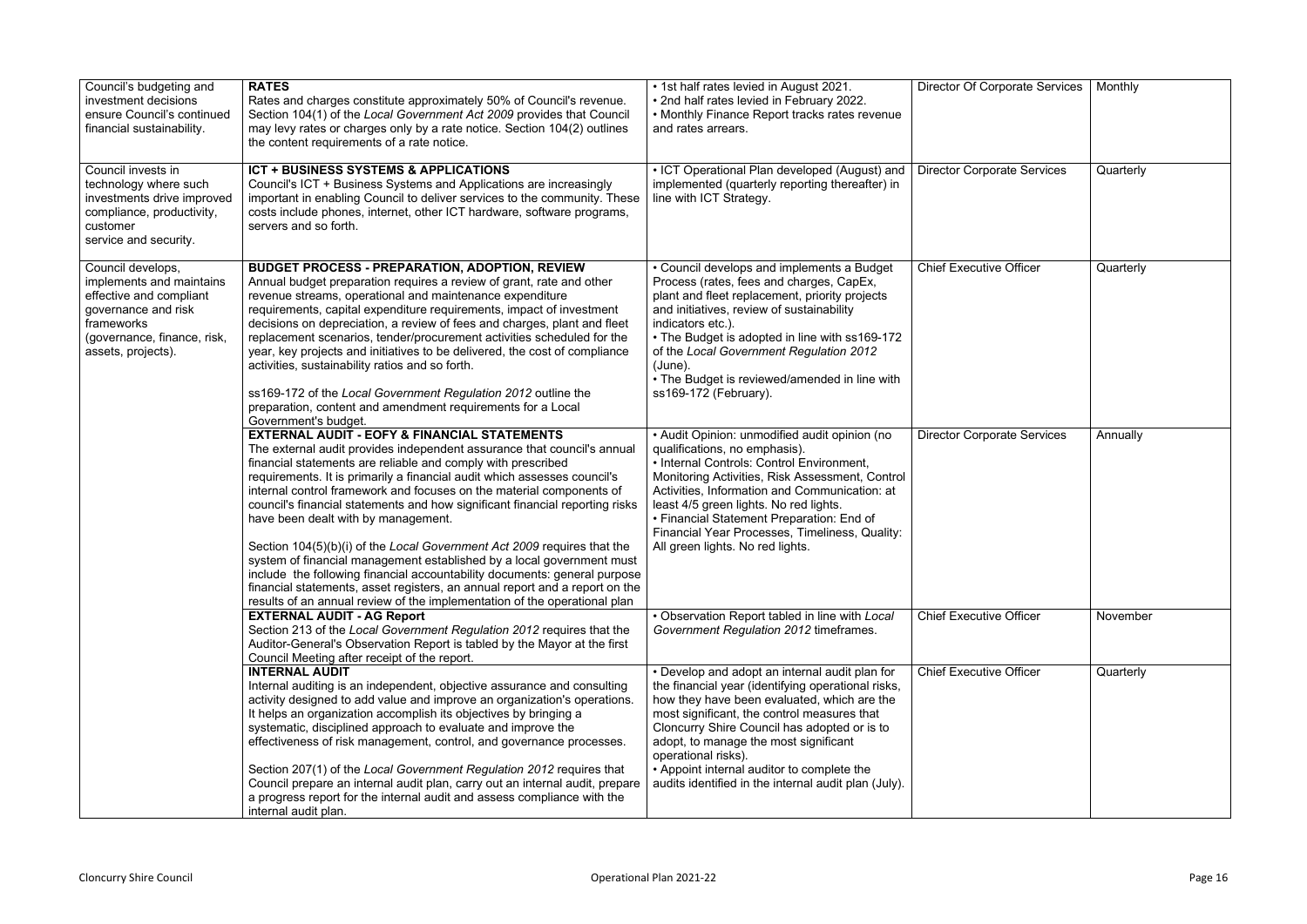| Council's budgeting and<br>investment decisions<br>ensure Council's continued<br>financial sustainability.                                                         | <b>RATES</b><br>Rates and charges constitute approximately 50% of Council's revenue.<br>Section 104(1) of the Local Government Act 2009 provides that Council<br>may levy rates or charges only by a rate notice. Section 104(2) outlines<br>the content requirements of a rate notice.                                                                                                                                                                                                                                                                                                                                                                                                                                                                                                                                                                                    | • 1st half rates levied in August 2021.<br>• 2nd half rates levied in February 2022.<br>• Monthly Finance Report tracks rates revenue<br>and rates arrears.                                                                                                                                                                                                                                                              | <b>Director Of Corporate Services</b> | Monthly   |
|--------------------------------------------------------------------------------------------------------------------------------------------------------------------|----------------------------------------------------------------------------------------------------------------------------------------------------------------------------------------------------------------------------------------------------------------------------------------------------------------------------------------------------------------------------------------------------------------------------------------------------------------------------------------------------------------------------------------------------------------------------------------------------------------------------------------------------------------------------------------------------------------------------------------------------------------------------------------------------------------------------------------------------------------------------|--------------------------------------------------------------------------------------------------------------------------------------------------------------------------------------------------------------------------------------------------------------------------------------------------------------------------------------------------------------------------------------------------------------------------|---------------------------------------|-----------|
| Council invests in<br>technology where such<br>investments drive improved<br>compliance, productivity,<br>customer<br>service and security.                        | <b>ICT + BUSINESS SYSTEMS &amp; APPLICATIONS</b><br>Council's ICT + Business Systems and Applications are increasingly<br>important in enabling Council to deliver services to the community. These<br>costs include phones, internet, other ICT hardware, software programs,<br>servers and so forth.                                                                                                                                                                                                                                                                                                                                                                                                                                                                                                                                                                     | • ICT Operational Plan developed (August) and<br>implemented (quarterly reporting thereafter) in<br>line with ICT Strategy.                                                                                                                                                                                                                                                                                              | <b>Director Corporate Services</b>    | Quarterly |
| Council develops,<br>implements and maintains<br>effective and compliant<br>governance and risk<br>frameworks<br>(governance, finance, risk,<br>assets, projects). | <b>BUDGET PROCESS - PREPARATION, ADOPTION, REVIEW</b><br>Annual budget preparation requires a review of grant, rate and other<br>revenue streams, operational and maintenance expenditure<br>requirements, capital expenditure requirements, impact of investment<br>decisions on depreciation, a review of fees and charges, plant and fleet<br>replacement scenarios, tender/procurement activities scheduled for the<br>year, key projects and initiatives to be delivered, the cost of compliance<br>activities, sustainability ratios and so forth.<br>ss169-172 of the Local Government Regulation 2012 outline the<br>preparation, content and amendment requirements for a Local<br>Government's budget.                                                                                                                                                           | • Council develops and implements a Budget<br>Process (rates, fees and charges, CapEx,<br>plant and fleet replacement, priority projects<br>and initiatives, review of sustainability<br>indicators etc.).<br>• The Budget is adopted in line with ss169-172<br>of the Local Government Regulation 2012<br>(June).<br>• The Budget is reviewed/amended in line with<br>ss169-172 (February).                             | <b>Chief Executive Officer</b>        | Quarterly |
|                                                                                                                                                                    | <b>EXTERNAL AUDIT - EOFY &amp; FINANCIAL STATEMENTS</b><br>The external audit provides independent assurance that council's annual<br>financial statements are reliable and comply with prescribed<br>requirements. It is primarily a financial audit which assesses council's<br>internal control framework and focuses on the material components of<br>council's financial statements and how significant financial reporting risks<br>have been dealt with by management.<br>Section 104(5)(b)(i) of the Local Government Act 2009 requires that the<br>system of financial management established by a local government must<br>include the following financial accountability documents: general purpose<br>financial statements, asset registers, an annual report and a report on the<br>results of an annual review of the implementation of the operational plan | • Audit Opinion: unmodified audit opinion (no<br>qualifications, no emphasis).<br>• Internal Controls: Control Environment,<br>Monitoring Activities, Risk Assessment, Control<br>Activities, Information and Communication: at<br>least 4/5 green lights. No red lights.<br>• Financial Statement Preparation: End of<br>Financial Year Processes, Timeliness, Quality:<br>All green lights. No red lights.             | <b>Director Corporate Services</b>    | Annually  |
|                                                                                                                                                                    | <b>EXTERNAL AUDIT - AG Report</b><br>Section 213 of the Local Government Regulation 2012 requires that the<br>Auditor-General's Observation Report is tabled by the Mayor at the first<br>Council Meeting after receipt of the report.                                                                                                                                                                                                                                                                                                                                                                                                                                                                                                                                                                                                                                     | • Observation Report tabled in line with Local<br>Government Regulation 2012 timeframes.                                                                                                                                                                                                                                                                                                                                 | <b>Chief Executive Officer</b>        | November  |
|                                                                                                                                                                    | <b>INTERNAL AUDIT</b><br>Internal auditing is an independent, objective assurance and consulting<br>activity designed to add value and improve an organization's operations.<br>It helps an organization accomplish its objectives by bringing a<br>systematic, disciplined approach to evaluate and improve the<br>effectiveness of risk management, control, and governance processes.<br>Section 207(1) of the Local Government Regulation 2012 requires that<br>Council prepare an internal audit plan, carry out an internal audit, prepare<br>a progress report for the internal audit and assess compliance with the<br>internal audit plan.                                                                                                                                                                                                                        | • Develop and adopt an internal audit plan for<br>the financial year (identifying operational risks,<br>how they have been evaluated, which are the<br>most significant, the control measures that<br>Cloncurry Shire Council has adopted or is to<br>adopt, to manage the most significant<br>operational risks).<br>• Appoint internal auditor to complete the<br>audits identified in the internal audit plan (July). | <b>Chief Executive Officer</b>        | Quarterly |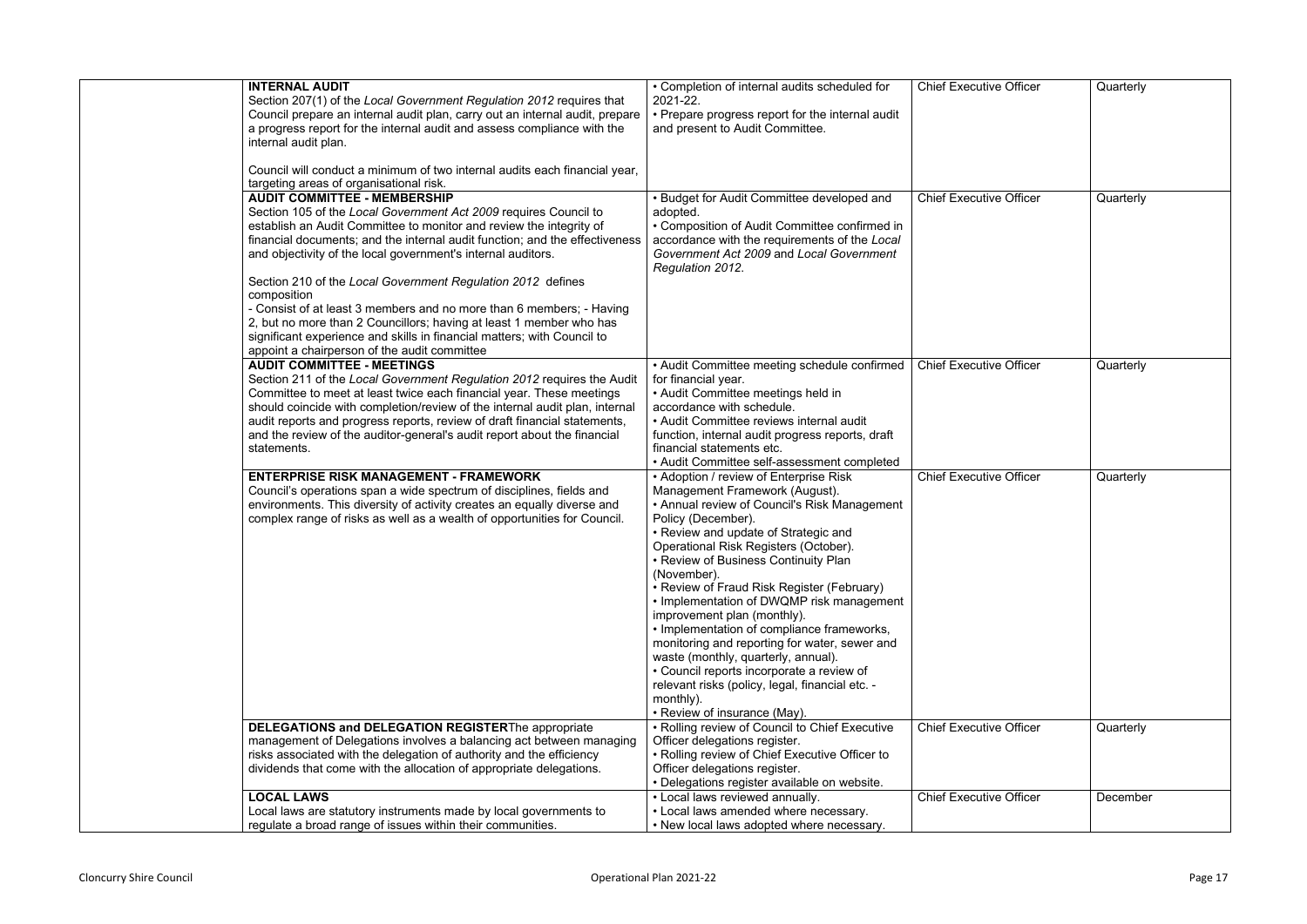| <b>INTERNAL AUDIT</b><br>Section 207(1) of the Local Government Regulation 2012 requires that | • Completion of internal audits scheduled for<br>2021-22. | <b>Chief Executive Officer</b> | Quarterly |
|-----------------------------------------------------------------------------------------------|-----------------------------------------------------------|--------------------------------|-----------|
| Council prepare an internal audit plan, carry out an internal audit, prepare                  | • Prepare progress report for the internal audit          |                                |           |
| a progress report for the internal audit and assess compliance with the                       | and present to Audit Committee.                           |                                |           |
| internal audit plan.                                                                          |                                                           |                                |           |
|                                                                                               |                                                           |                                |           |
| Council will conduct a minimum of two internal audits each financial year,                    |                                                           |                                |           |
| targeting areas of organisational risk.                                                       |                                                           |                                |           |
| <b>AUDIT COMMITTEE - MEMBERSHIP</b>                                                           | <b>Budget for Audit Committee developed and</b>           | <b>Chief Executive Officer</b> | Quarterly |
| Section 105 of the Local Government Act 2009 requires Council to                              | adopted.                                                  |                                |           |
| establish an Audit Committee to monitor and review the integrity of                           | • Composition of Audit Committee confirmed in             |                                |           |
| financial documents; and the internal audit function; and the effectiveness                   | accordance with the requirements of the Local             |                                |           |
| and objectivity of the local government's internal auditors.                                  | Government Act 2009 and Local Government                  |                                |           |
|                                                                                               | Regulation 2012.                                          |                                |           |
| Section 210 of the Local Government Regulation 2012 defines                                   |                                                           |                                |           |
| composition                                                                                   |                                                           |                                |           |
| - Consist of at least 3 members and no more than 6 members; - Having                          |                                                           |                                |           |
| 2, but no more than 2 Councillors; having at least 1 member who has                           |                                                           |                                |           |
| significant experience and skills in financial matters; with Council to                       |                                                           |                                |           |
| appoint a chairperson of the audit committee                                                  |                                                           |                                |           |
| <b>AUDIT COMMITTEE - MEETINGS</b>                                                             | • Audit Committee meeting schedule confirmed              | <b>Chief Executive Officer</b> | Quarterly |
| Section 211 of the Local Government Regulation 2012 requires the Audit                        | for financial year.                                       |                                |           |
| Committee to meet at least twice each financial year. These meetings                          | • Audit Committee meetings held in                        |                                |           |
| should coincide with completion/review of the internal audit plan, internal                   | accordance with schedule.                                 |                                |           |
| audit reports and progress reports, review of draft financial statements,                     | • Audit Committee reviews internal audit                  |                                |           |
| and the review of the auditor-general's audit report about the financial                      | function, internal audit progress reports, draft          |                                |           |
| statements.                                                                                   | financial statements etc.                                 |                                |           |
|                                                                                               | • Audit Committee self-assessment completed               |                                |           |
| <b>ENTERPRISE RISK MANAGEMENT - FRAMEWORK</b>                                                 | • Adoption / review of Enterprise Risk                    | <b>Chief Executive Officer</b> | Quarterly |
| Council's operations span a wide spectrum of disciplines, fields and                          | Management Framework (August).                            |                                |           |
| environments. This diversity of activity creates an equally diverse and                       | • Annual review of Council's Risk Management              |                                |           |
| complex range of risks as well as a wealth of opportunities for Council.                      | Policy (December).                                        |                                |           |
|                                                                                               | • Review and update of Strategic and                      |                                |           |
|                                                                                               | Operational Risk Registers (October).                     |                                |           |
|                                                                                               | • Review of Business Continuity Plan                      |                                |           |
|                                                                                               | (November).                                               |                                |           |
|                                                                                               | • Review of Fraud Risk Register (February)                |                                |           |
|                                                                                               | • Implementation of DWQMP risk management                 |                                |           |
|                                                                                               | improvement plan (monthly).                               |                                |           |
|                                                                                               | • Implementation of compliance frameworks,                |                                |           |
|                                                                                               | monitoring and reporting for water, sewer and             |                                |           |
|                                                                                               | waste (monthly, quarterly, annual).                       |                                |           |
|                                                                                               | • Council reports incorporate a review of                 |                                |           |
|                                                                                               | relevant risks (policy, legal, financial etc. -           |                                |           |
|                                                                                               | monthly).                                                 |                                |           |
|                                                                                               | • Review of insurance (May).                              |                                |           |
| <b>DELEGATIONS and DELEGATION REGISTERThe appropriate</b>                                     | • Rolling review of Council to Chief Executive            | <b>Chief Executive Officer</b> | Quarterly |
| management of Delegations involves a balancing act between managing                           | Officer delegations register.                             |                                |           |
| risks associated with the delegation of authority and the efficiency                          | • Rolling review of Chief Executive Officer to            |                                |           |
| dividends that come with the allocation of appropriate delegations.                           | Officer delegations register.                             |                                |           |
|                                                                                               | • Delegations register available on website.              |                                |           |
| <b>LOCAL LAWS</b>                                                                             | • Local laws reviewed annually.                           | <b>Chief Executive Officer</b> | December  |
| Local laws are statutory instruments made by local governments to                             | • Local laws amended where necessary.                     |                                |           |
| regulate a broad range of issues within their communities.                                    | • New local laws adopted where necessary.                 |                                |           |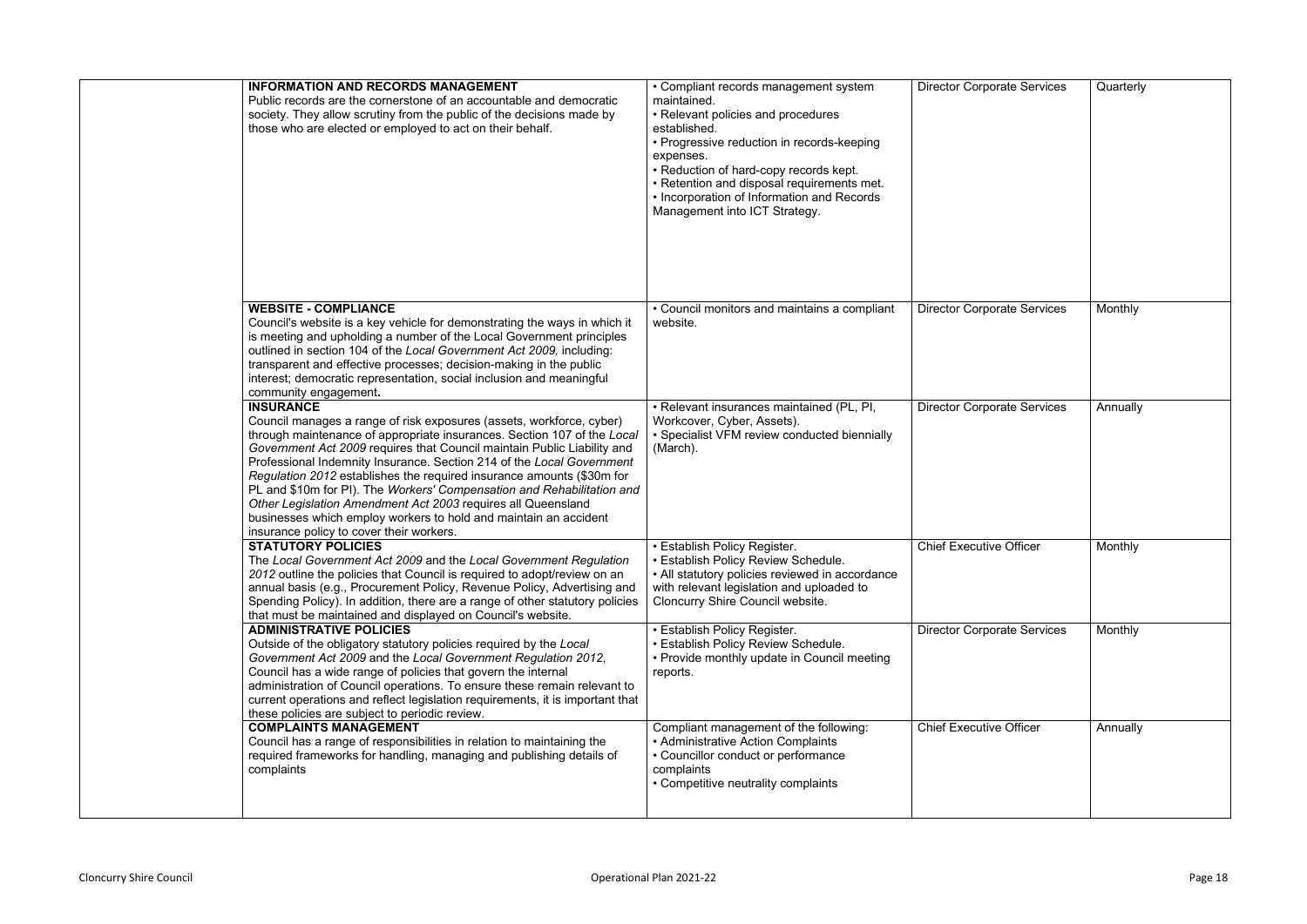| <b>INFORMATION AND RECORDS MANAGEMENT</b><br>Public records are the cornerstone of an accountable and democratic<br>society. They allow scrutiny from the public of the decisions made by<br>those who are elected or employed to act on their behalf.                                                                                                                                                                                                                                                                                                                                                                                                     | • Compliant records management system<br>maintained.<br>• Relevant policies and procedures<br>established.<br>• Progressive reduction in records-keeping<br>expenses.<br>• Reduction of hard-copy records kept.<br>• Retention and disposal requirements met.<br>• Incorporation of Information and Records<br>Management into ICT Strategy. | <b>Director Corporate Services</b> | Quarterly |
|------------------------------------------------------------------------------------------------------------------------------------------------------------------------------------------------------------------------------------------------------------------------------------------------------------------------------------------------------------------------------------------------------------------------------------------------------------------------------------------------------------------------------------------------------------------------------------------------------------------------------------------------------------|----------------------------------------------------------------------------------------------------------------------------------------------------------------------------------------------------------------------------------------------------------------------------------------------------------------------------------------------|------------------------------------|-----------|
| <b>WEBSITE - COMPLIANCE</b><br>Council's website is a key vehicle for demonstrating the ways in which it<br>is meeting and upholding a number of the Local Government principles<br>outlined in section 104 of the Local Government Act 2009, including:<br>transparent and effective processes; decision-making in the public<br>interest; democratic representation, social inclusion and meaningful<br>community engagement.                                                                                                                                                                                                                            | • Council monitors and maintains a compliant<br>website.                                                                                                                                                                                                                                                                                     | <b>Director Corporate Services</b> | Monthly   |
| <b>INSURANCE</b><br>Council manages a range of risk exposures (assets, workforce, cyber)<br>through maintenance of appropriate insurances. Section 107 of the Local<br>Government Act 2009 requires that Council maintain Public Liability and<br>Professional Indemnity Insurance. Section 214 of the Local Government<br>Regulation 2012 establishes the required insurance amounts (\$30m for<br>PL and \$10m for PI). The Workers' Compensation and Rehabilitation and<br>Other Legislation Amendment Act 2003 requires all Queensland<br>businesses which employ workers to hold and maintain an accident<br>insurance policy to cover their workers. | • Relevant insurances maintained (PL, PI,<br>Workcover, Cyber, Assets).<br>• Specialist VFM review conducted biennially<br>(March).                                                                                                                                                                                                          | <b>Director Corporate Services</b> | Annually  |
| <b>STATUTORY POLICIES</b><br>The Local Government Act 2009 and the Local Government Regulation<br>2012 outline the policies that Council is required to adopt/review on an<br>annual basis (e.g., Procurement Policy, Revenue Policy, Advertising and<br>Spending Policy). In addition, there are a range of other statutory policies<br>that must be maintained and displayed on Council's website.                                                                                                                                                                                                                                                       | • Establish Policy Register.<br>• Establish Policy Review Schedule.<br>• All statutory policies reviewed in accordance<br>with relevant legislation and uploaded to<br>Cloncurry Shire Council website.                                                                                                                                      | <b>Chief Executive Officer</b>     | Monthly   |
| <b>ADMINISTRATIVE POLICIES</b><br>Outside of the obligatory statutory policies required by the Local<br>Government Act 2009 and the Local Government Regulation 2012,<br>Council has a wide range of policies that govern the internal<br>administration of Council operations. To ensure these remain relevant to<br>current operations and reflect legislation requirements, it is important that<br>these policies are subject to periodic review.                                                                                                                                                                                                      | • Establish Policy Register.<br>• Establish Policy Review Schedule.<br>• Provide monthly update in Council meeting<br>reports.                                                                                                                                                                                                               | <b>Director Corporate Services</b> | Monthly   |
| <b>COMPLAINTS MANAGEMENT</b><br>Council has a range of responsibilities in relation to maintaining the<br>required frameworks for handling, managing and publishing details of<br>complaints                                                                                                                                                                                                                                                                                                                                                                                                                                                               | Compliant management of the following:<br>• Administrative Action Complaints<br>• Councillor conduct or performance<br>complaints<br>• Competitive neutrality complaints                                                                                                                                                                     | <b>Chief Executive Officer</b>     | Annually  |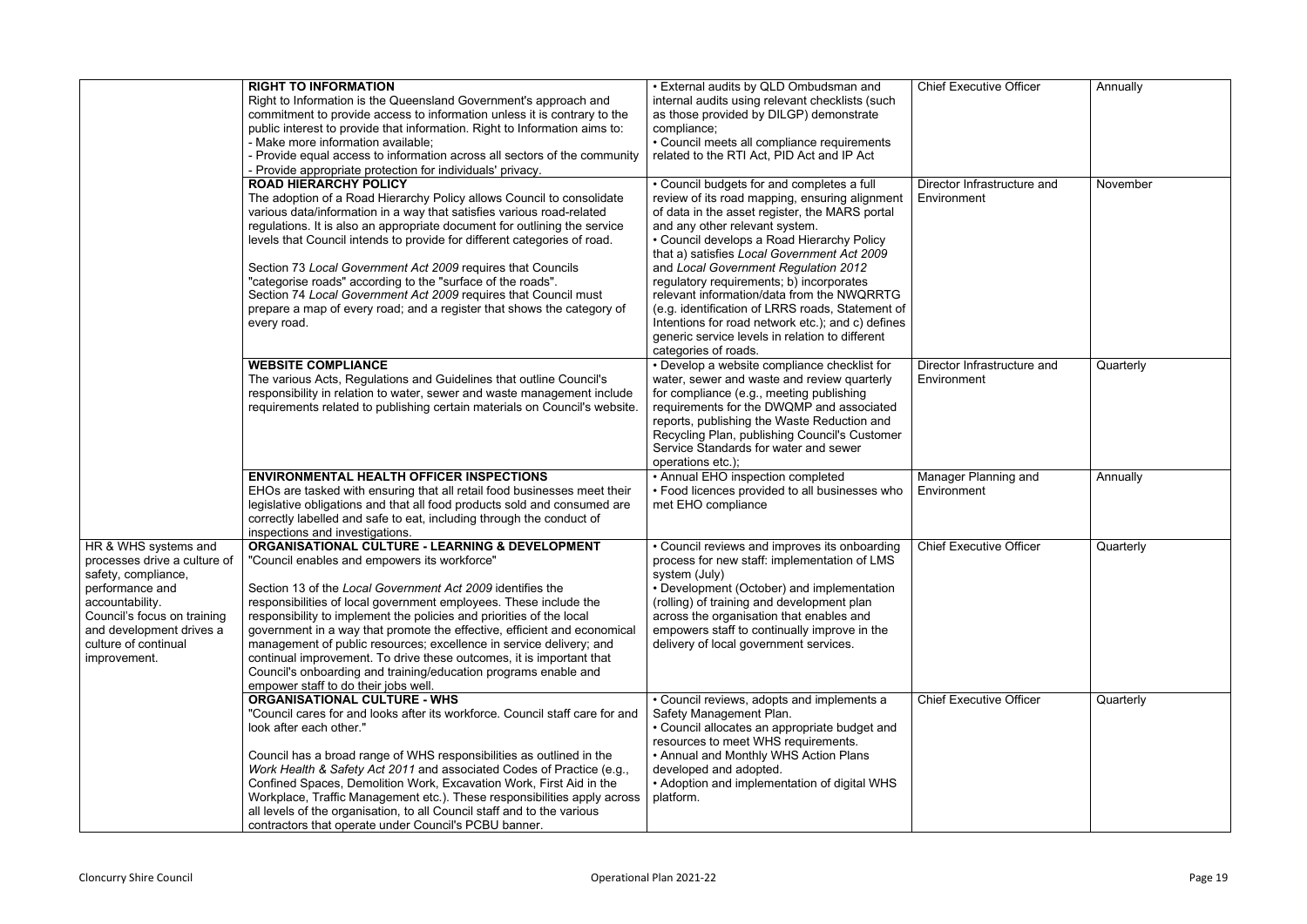|                              | <b>RIGHT TO INFORMATION</b>                                                  | • External audits by QLD Ombudsman and            | <b>Chief Executive Officer</b> | Annually  |
|------------------------------|------------------------------------------------------------------------------|---------------------------------------------------|--------------------------------|-----------|
|                              | Right to Information is the Queensland Government's approach and             | internal audits using relevant checklists (such   |                                |           |
|                              | commitment to provide access to information unless it is contrary to the     | as those provided by DILGP) demonstrate           |                                |           |
|                              | public interest to provide that information. Right to Information aims to:   | compliance;                                       |                                |           |
|                              | - Make more information available;                                           | • Council meets all compliance requirements       |                                |           |
|                              | - Provide equal access to information across all sectors of the community    | related to the RTI Act, PID Act and IP Act        |                                |           |
|                              | - Provide appropriate protection for individuals' privacy.                   |                                                   |                                |           |
|                              | <b>ROAD HIERARCHY POLICY</b>                                                 | • Council budgets for and completes a full        | Director Infrastructure and    | November  |
|                              | The adoption of a Road Hierarchy Policy allows Council to consolidate        | review of its road mapping, ensuring alignment    | Environment                    |           |
|                              | various data/information in a way that satisfies various road-related        | of data in the asset register, the MARS portal    |                                |           |
|                              | regulations. It is also an appropriate document for outlining the service    | and any other relevant system.                    |                                |           |
|                              | levels that Council intends to provide for different categories of road.     | • Council develops a Road Hierarchy Policy        |                                |           |
|                              |                                                                              | that a) satisfies Local Government Act 2009       |                                |           |
|                              | Section 73 Local Government Act 2009 requires that Councils                  | and Local Government Regulation 2012              |                                |           |
|                              | "categorise roads" according to the "surface of the roads".                  | regulatory requirements; b) incorporates          |                                |           |
|                              | Section 74 Local Government Act 2009 requires that Council must              | relevant information/data from the NWQRRTG        |                                |           |
|                              | prepare a map of every road; and a register that shows the category of       | (e.g. identification of LRRS roads, Statement of  |                                |           |
|                              | every road.                                                                  | Intentions for road network etc.); and c) defines |                                |           |
|                              |                                                                              | generic service levels in relation to different   |                                |           |
|                              |                                                                              | categories of roads.                              |                                |           |
|                              | <b>WEBSITE COMPLIANCE</b>                                                    | • Develop a website compliance checklist for      | Director Infrastructure and    | Quarterly |
|                              | The various Acts, Regulations and Guidelines that outline Council's          | water, sewer and waste and review quarterly       | Environment                    |           |
|                              | responsibility in relation to water, sewer and waste management include      | for compliance (e.g., meeting publishing          |                                |           |
|                              | requirements related to publishing certain materials on Council's website.   | requirements for the DWQMP and associated         |                                |           |
|                              |                                                                              | reports, publishing the Waste Reduction and       |                                |           |
|                              |                                                                              | Recycling Plan, publishing Council's Customer     |                                |           |
|                              |                                                                              | Service Standards for water and sewer             |                                |           |
|                              |                                                                              | operations etc.);                                 |                                |           |
|                              | <b>ENVIRONMENTAL HEALTH OFFICER INSPECTIONS</b>                              | • Annual EHO inspection completed                 | Manager Planning and           | Annually  |
|                              | EHOs are tasked with ensuring that all retail food businesses meet their     | • Food licences provided to all businesses who    | Environment                    |           |
|                              | legislative obligations and that all food products sold and consumed are     | met EHO compliance                                |                                |           |
|                              | correctly labelled and safe to eat, including through the conduct of         |                                                   |                                |           |
|                              | inspections and investigations.                                              |                                                   |                                |           |
| HR & WHS systems and         | ORGANISATIONAL CULTURE - LEARNING & DEVELOPMENT                              | • Council reviews and improves its onboarding     | <b>Chief Executive Officer</b> | Quarterly |
| processes drive a culture of | "Council enables and empowers its workforce"                                 | process for new staff: implementation of LMS      |                                |           |
| safety, compliance,          |                                                                              | system (July)                                     |                                |           |
| performance and              | Section 13 of the Local Government Act 2009 identifies the                   | • Development (October) and implementation        |                                |           |
| accountability.              | responsibilities of local government employees. These include the            | (rolling) of training and development plan        |                                |           |
| Council's focus on training  | responsibility to implement the policies and priorities of the local         | across the organisation that enables and          |                                |           |
| and development drives a     | government in a way that promote the effective, efficient and economical     | empowers staff to continually improve in the      |                                |           |
| culture of continual         | management of public resources; excellence in service delivery; and          | delivery of local government services.            |                                |           |
| improvement.                 | continual improvement. To drive these outcomes, it is important that         |                                                   |                                |           |
|                              | Council's onboarding and training/education programs enable and              |                                                   |                                |           |
|                              | empower staff to do their jobs well.                                         |                                                   |                                |           |
|                              | <b>ORGANISATIONAL CULTURE - WHS</b>                                          | • Council reviews, adopts and implements a        | <b>Chief Executive Officer</b> | Quarterly |
|                              | "Council cares for and looks after its workforce. Council staff care for and | Safety Management Plan.                           |                                |           |
|                              | look after each other."                                                      | • Council allocates an appropriate budget and     |                                |           |
|                              |                                                                              | resources to meet WHS requirements.               |                                |           |
|                              | Council has a broad range of WHS responsibilities as outlined in the         | • Annual and Monthly WHS Action Plans             |                                |           |
|                              | Work Health & Safety Act 2011 and associated Codes of Practice (e.g.,        | developed and adopted.                            |                                |           |
|                              | Confined Spaces, Demolition Work, Excavation Work, First Aid in the          | • Adoption and implementation of digital WHS      |                                |           |
|                              | Workplace, Traffic Management etc.). These responsibilities apply across     | platform.                                         |                                |           |
|                              | all levels of the organisation, to all Council staff and to the various      |                                                   |                                |           |
|                              | contractors that operate under Council's PCBU banner.                        |                                                   |                                |           |